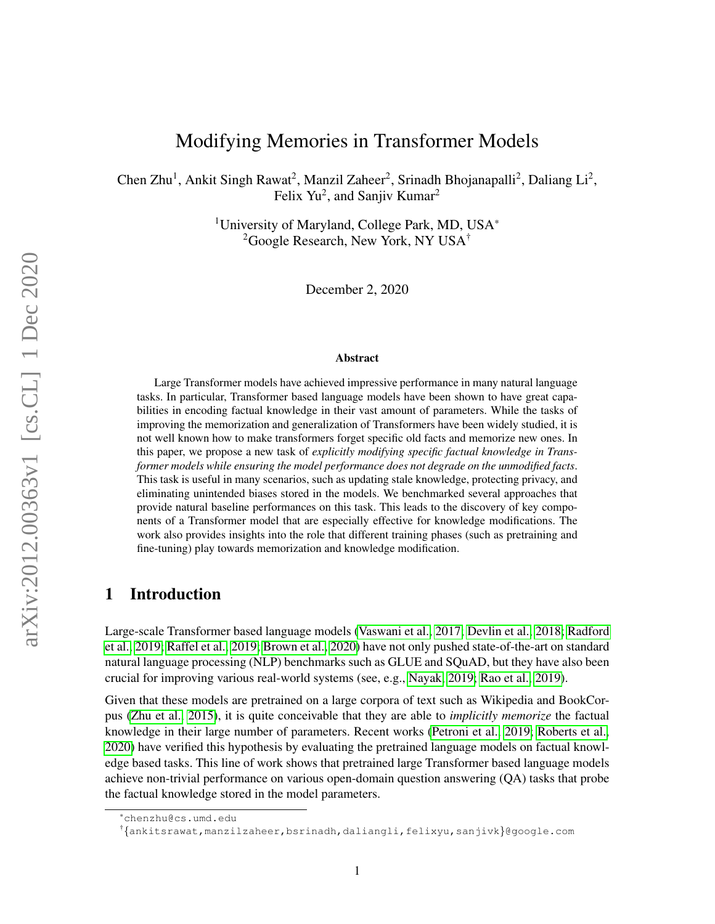# Modifying Memories in Transformer Models

Chen Zhu<sup>1</sup>, Ankit Singh Rawat<sup>2</sup>, Manzil Zaheer<sup>2</sup>, Srinadh Bhojanapalli<sup>2</sup>, Daliang Li<sup>2</sup>, Felix  $Yu^2$ , and Sanjiv Kumar<sup>2</sup>

> <sup>1</sup>University of Maryland, College Park, MD, USA<sup>\*</sup> <sup>2</sup>Google Research, New York, NY USA<sup>†</sup>

> > December 2, 2020

#### Abstract

Large Transformer models have achieved impressive performance in many natural language tasks. In particular, Transformer based language models have been shown to have great capabilities in encoding factual knowledge in their vast amount of parameters. While the tasks of improving the memorization and generalization of Transformers have been widely studied, it is not well known how to make transformers forget specific old facts and memorize new ones. In this paper, we propose a new task of *explicitly modifying specific factual knowledge in Transformer models while ensuring the model performance does not degrade on the unmodified facts*. This task is useful in many scenarios, such as updating stale knowledge, protecting privacy, and eliminating unintended biases stored in the models. We benchmarked several approaches that provide natural baseline performances on this task. This leads to the discovery of key components of a Transformer model that are especially effective for knowledge modifications. The work also provides insights into the role that different training phases (such as pretraining and fine-tuning) play towards memorization and knowledge modification.

## 1 Introduction

Large-scale Transformer based language models [\(Vaswani et al., 2017;](#page-15-0) [Devlin et al., 2018;](#page-12-0) [Radford](#page-14-0) [et al., 2019;](#page-14-0) [Raffel et al., 2019;](#page-14-1) [Brown et al., 2020\)](#page-12-1) have not only pushed state-of-the-art on standard natural language processing (NLP) benchmarks such as GLUE and SQuAD, but they have also been crucial for improving various real-world systems (see, e.g., [Nayak, 2019;](#page-14-2) [Rao et al., 2019\)](#page-14-3).

Given that these models are pretrained on a large corpora of text such as Wikipedia and BookCorpus [\(Zhu et al., 2015\)](#page-15-1), it is quite conceivable that they are able to *implicitly memorize* the factual knowledge in their large number of parameters. Recent works [\(Petroni et al., 2019;](#page-14-4) [Roberts et al.,](#page-14-5) [2020\)](#page-14-5) have verified this hypothesis by evaluating the pretrained language models on factual knowledge based tasks. This line of work shows that pretrained large Transformer based language models achieve non-trivial performance on various open-domain question answering (QA) tasks that probe the factual knowledge stored in the model parameters.

<sup>\*</sup>chenzhu@cs.umd.edu

<sup>†</sup> {ankitsrawat,manzilzaheer,bsrinadh,daliangli,felixyu,sanjivk}@google.com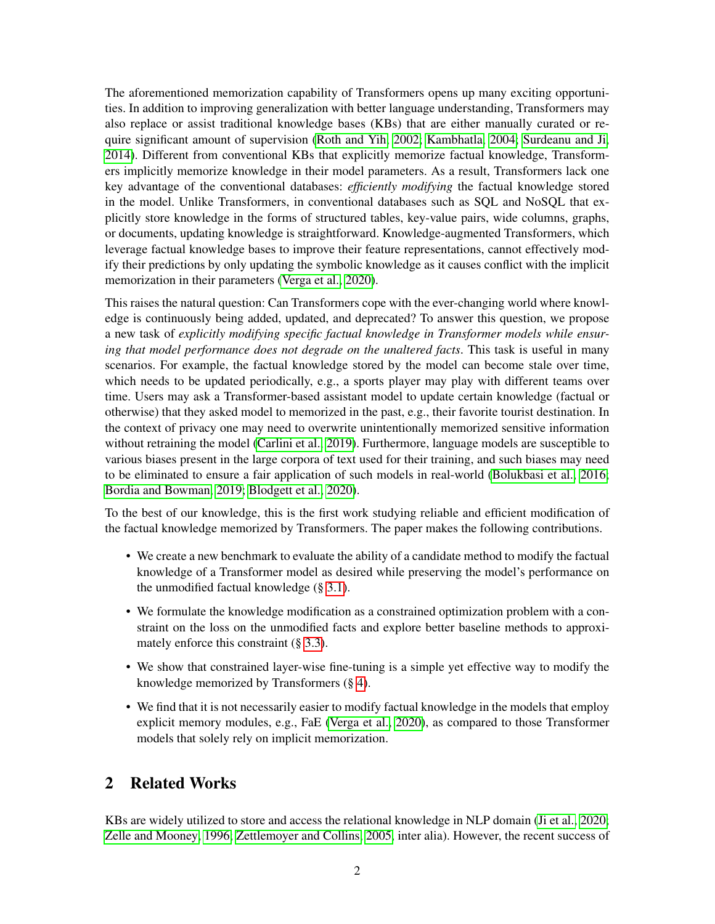The aforementioned memorization capability of Transformers opens up many exciting opportunities. In addition to improving generalization with better language understanding, Transformers may also replace or assist traditional knowledge bases (KBs) that are either manually curated or require significant amount of supervision [\(Roth and Yih, 2002;](#page-14-6) [Kambhatla, 2004;](#page-13-0) [Surdeanu and Ji,](#page-14-7) [2014\)](#page-14-7). Different from conventional KBs that explicitly memorize factual knowledge, Transformers implicitly memorize knowledge in their model parameters. As a result, Transformers lack one key advantage of the conventional databases: *efficiently modifying* the factual knowledge stored in the model. Unlike Transformers, in conventional databases such as SQL and NoSQL that explicitly store knowledge in the forms of structured tables, key-value pairs, wide columns, graphs, or documents, updating knowledge is straightforward. Knowledge-augmented Transformers, which leverage factual knowledge bases to improve their feature representations, cannot effectively modify their predictions by only updating the symbolic knowledge as it causes conflict with the implicit memorization in their parameters [\(Verga et al., 2020\)](#page-15-2).

This raises the natural question: Can Transformers cope with the ever-changing world where knowledge is continuously being added, updated, and deprecated? To answer this question, we propose a new task of *explicitly modifying specific factual knowledge in Transformer models while ensuring that model performance does not degrade on the unaltered facts*. This task is useful in many scenarios. For example, the factual knowledge stored by the model can become stale over time, which needs to be updated periodically, e.g., a sports player may play with different teams over time. Users may ask a Transformer-based assistant model to update certain knowledge (factual or otherwise) that they asked model to memorized in the past, e.g., their favorite tourist destination. In the context of privacy one may need to overwrite unintentionally memorized sensitive information without retraining the model [\(Carlini et al., 2019\)](#page-12-2). Furthermore, language models are susceptible to various biases present in the large corpora of text used for their training, and such biases may need to be eliminated to ensure a fair application of such models in real-world [\(Bolukbasi et al., 2016;](#page-12-3) [Bordia and Bowman, 2019;](#page-12-4) [Blodgett et al., 2020\)](#page-12-5).

To the best of our knowledge, this is the first work studying reliable and efficient modification of the factual knowledge memorized by Transformers. The paper makes the following contributions.

- We create a new benchmark to evaluate the ability of a candidate method to modify the factual knowledge of a Transformer model as desired while preserving the model's performance on the unmodified factual knowledge (§ [3.1\)](#page-3-0).
- We formulate the knowledge modification as a constrained optimization problem with a constraint on the loss on the unmodified facts and explore better baseline methods to approximately enforce this constraint (§ [3.3\)](#page-4-0).
- We show that constrained layer-wise fine-tuning is a simple yet effective way to modify the knowledge memorized by Transformers (§ [4\)](#page-5-0).
- We find that it is not necessarily easier to modify factual knowledge in the models that employ explicit memory modules, e.g., FaE [\(Verga et al., 2020\)](#page-15-2), as compared to those Transformer models that solely rely on implicit memorization.

# 2 Related Works

KBs are widely utilized to store and access the relational knowledge in NLP domain [\(Ji et al., 2020;](#page-13-1) [Zelle and Mooney, 1996;](#page-15-3) [Zettlemoyer and Collins, 2005,](#page-15-4) inter alia). However, the recent success of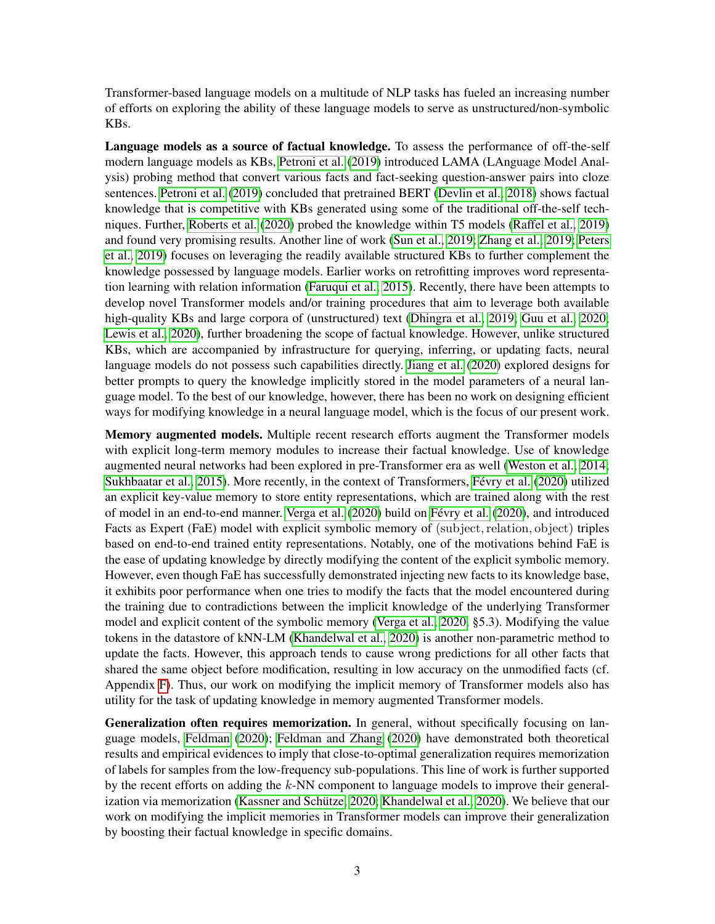Transformer-based language models on a multitude of NLP tasks has fueled an increasing number of efforts on exploring the ability of these language models to serve as unstructured/non-symbolic KBs.

Language models as a source of factual knowledge. To assess the performance of off-the-self modern language models as KBs, [Petroni et al.](#page-14-4) [\(2019\)](#page-14-4) introduced LAMA (LAnguage Model Analysis) probing method that convert various facts and fact-seeking question-answer pairs into cloze sentences. [Petroni et al.](#page-14-4) [\(2019\)](#page-14-4) concluded that pretrained BERT [\(Devlin et al., 2018\)](#page-12-0) shows factual knowledge that is competitive with KBs generated using some of the traditional off-the-self techniques. Further, [Roberts et al.](#page-14-5) [\(2020\)](#page-14-5) probed the knowledge within T5 models [\(Raffel et al., 2019\)](#page-14-1) and found very promising results. Another line of work [\(Sun et al., 2019;](#page-14-8) [Zhang et al., 2019;](#page-15-5) [Peters](#page-14-9) [et al., 2019\)](#page-14-9) focuses on leveraging the readily available structured KBs to further complement the knowledge possessed by language models. Earlier works on retrofitting improves word representation learning with relation information [\(Faruqui et al., 2015\)](#page-12-6). Recently, there have been attempts to develop novel Transformer models and/or training procedures that aim to leverage both available high-quality KBs and large corpora of (unstructured) text [\(Dhingra et al., 2019;](#page-12-7) [Guu et al., 2020;](#page-13-2) [Lewis et al., 2020\)](#page-13-3), further broadening the scope of factual knowledge. However, unlike structured KBs, which are accompanied by infrastructure for querying, inferring, or updating facts, neural language models do not possess such capabilities directly. [Jiang et al.](#page-13-4) [\(2020\)](#page-13-4) explored designs for better prompts to query the knowledge implicitly stored in the model parameters of a neural language model. To the best of our knowledge, however, there has been no work on designing efficient ways for modifying knowledge in a neural language model, which is the focus of our present work.

Memory augmented models. Multiple recent research efforts augment the Transformer models with explicit long-term memory modules to increase their factual knowledge. Use of knowledge augmented neural networks had been explored in pre-Transformer era as well [\(Weston et al., 2014;](#page-15-6) [Sukhbaatar et al., 2015\)](#page-14-10). More recently, in the context of Transformers, Févry et al. [\(2020\)](#page-13-5) utilized an explicit key-value memory to store entity representations, which are trained along with the rest of model in an end-to-end manner. [Verga et al.](#page-15-2) [\(2020\)](#page-15-2) build on [Fevry et al.](#page-13-5) [\(2020\)](#page-13-5), and introduced ´ Facts as Expert (FaE) model with explicit symbolic memory of (subject, relation, object) triples based on end-to-end trained entity representations. Notably, one of the motivations behind FaE is the ease of updating knowledge by directly modifying the content of the explicit symbolic memory. However, even though FaE has successfully demonstrated injecting new facts to its knowledge base, it exhibits poor performance when one tries to modify the facts that the model encountered during the training due to contradictions between the implicit knowledge of the underlying Transformer model and explicit content of the symbolic memory [\(Verga et al., 2020,](#page-15-2) §5.3). Modifying the value tokens in the datastore of kNN-LM [\(Khandelwal et al., 2020\)](#page-13-6) is another non-parametric method to update the facts. However, this approach tends to cause wrong predictions for all other facts that shared the same object before modification, resulting in low accuracy on the unmodified facts (cf. Appendix [F\)](#page-19-0). Thus, our work on modifying the implicit memory of Transformer models also has utility for the task of updating knowledge in memory augmented Transformer models.

Generalization often requires memorization. In general, without specifically focusing on language models, [Feldman](#page-12-8) [\(2020\)](#page-12-8); [Feldman and Zhang](#page-13-7) [\(2020\)](#page-13-7) have demonstrated both theoretical results and empirical evidences to imply that close-to-optimal generalization requires memorization of labels for samples from the low-frequency sub-populations. This line of work is further supported by the recent efforts on adding the  $k$ -NN component to language models to improve their general-ization via memorization (Kassner and Schütze, 2020; [Khandelwal et al., 2020\)](#page-13-6). We believe that our work on modifying the implicit memories in Transformer models can improve their generalization by boosting their factual knowledge in specific domains.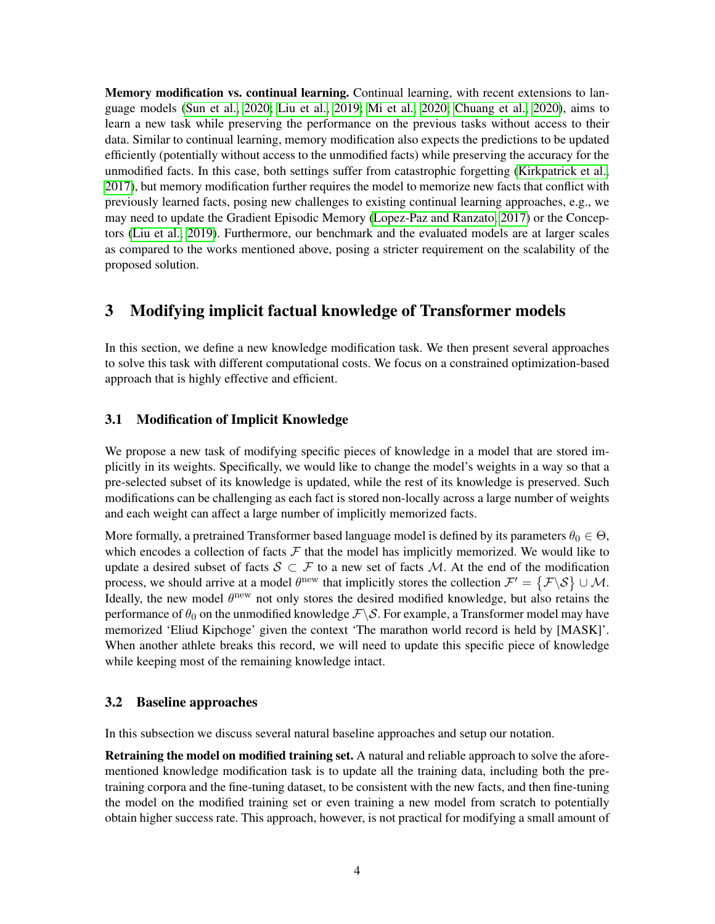Memory modification vs. continual learning. Continual learning, with recent extensions to language models [\(Sun et al., 2020;](#page-14-11) [Liu et al., 2019;](#page-13-9) [Mi et al., 2020;](#page-14-12) [Chuang et al., 2020\)](#page-12-9), aims to learn a new task while preserving the performance on the previous tasks without access to their data. Similar to continual learning, memory modification also expects the predictions to be updated efficiently (potentially without access to the unmodified facts) while preserving the accuracy for the unmodified facts. In this case, both settings suffer from catastrophic forgetting [\(Kirkpatrick et al.,](#page-13-10) [2017\)](#page-13-10), but memory modification further requires the model to memorize new facts that conflict with previously learned facts, posing new challenges to existing continual learning approaches, e.g., we may need to update the Gradient Episodic Memory [\(Lopez-Paz and Ranzato, 2017\)](#page-13-11) or the Conceptors [\(Liu et al., 2019\)](#page-13-9). Furthermore, our benchmark and the evaluated models are at larger scales as compared to the works mentioned above, posing a stricter requirement on the scalability of the proposed solution.

# 3 Modifying implicit factual knowledge of Transformer models

In this section, we define a new knowledge modification task. We then present several approaches to solve this task with different computational costs. We focus on a constrained optimization-based approach that is highly effective and efficient.

### <span id="page-3-0"></span>3.1 Modification of Implicit Knowledge

We propose a new task of modifying specific pieces of knowledge in a model that are stored implicitly in its weights. Specifically, we would like to change the model's weights in a way so that a pre-selected subset of its knowledge is updated, while the rest of its knowledge is preserved. Such modifications can be challenging as each fact is stored non-locally across a large number of weights and each weight can affect a large number of implicitly memorized facts.

More formally, a pretrained Transformer based language model is defined by its parameters  $\theta_0 \in \Theta$ , which encodes a collection of facts  $F$  that the model has implicitly memorized. We would like to update a desired subset of facts  $S \subset \mathcal{F}$  to a new set of facts M. At the end of the modification process, we should arrive at a model  $\theta^{\text{new}}$  that implicitly stores the collection  $\mathcal{F}' = \{ \mathcal{F} \setminus \mathcal{S} \} \cup \mathcal{M}$ . Ideally, the new model  $\theta^{\text{new}}$  not only stores the desired modified knowledge, but also retains the performance of  $\theta_0$  on the unmodified knowledge  $\mathcal{F}\backslash\mathcal{S}$ . For example, a Transformer model may have memorized 'Eliud Kipchoge' given the context 'The marathon world record is held by [MASK]'. When another athlete breaks this record, we will need to update this specific piece of knowledge while keeping most of the remaining knowledge intact.

#### <span id="page-3-1"></span>3.2 Baseline approaches

In this subsection we discuss several natural baseline approaches and setup our notation.

Retraining the model on modified training set. A natural and reliable approach to solve the aforementioned knowledge modification task is to update all the training data, including both the pretraining corpora and the fine-tuning dataset, to be consistent with the new facts, and then fine-tuning the model on the modified training set or even training a new model from scratch to potentially obtain higher success rate. This approach, however, is not practical for modifying a small amount of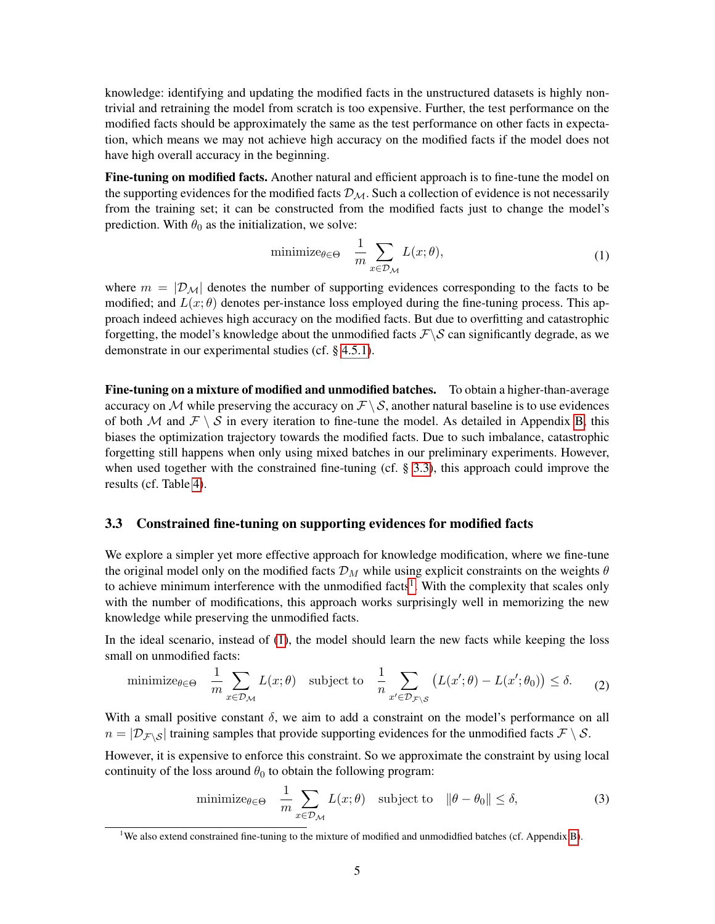knowledge: identifying and updating the modified facts in the unstructured datasets is highly nontrivial and retraining the model from scratch is too expensive. Further, the test performance on the modified facts should be approximately the same as the test performance on other facts in expectation, which means we may not achieve high accuracy on the modified facts if the model does not have high overall accuracy in the beginning.

Fine-tuning on modified facts. Another natural and efficient approach is to fine-tune the model on the supporting evidences for the modified facts  $\mathcal{D}_M$ . Such a collection of evidence is not necessarily from the training set; it can be constructed from the modified facts just to change the model's prediction. With  $\theta_0$  as the initialization, we solve:

<span id="page-4-2"></span>
$$
\text{minimize}_{\theta \in \Theta} \quad \frac{1}{m} \sum_{x \in \mathcal{D}_{\mathcal{M}}} L(x; \theta), \tag{1}
$$

where  $m = |\mathcal{D}_{\mathcal{M}}|$  denotes the number of supporting evidences corresponding to the facts to be modified; and  $L(x; \theta)$  denotes per-instance loss employed during the fine-tuning process. This approach indeed achieves high accuracy on the modified facts. But due to overfitting and catastrophic forgetting, the model's knowledge about the unmodified facts  $\mathcal{F}\setminus\mathcal{S}$  can significantly degrade, as we demonstrate in our experimental studies (cf. § [4.5.1\)](#page-7-0).

Fine-tuning on a mixture of modified and unmodified batches. To obtain a higher-than-average accuracy on M while preserving the accuracy on  $\mathcal{F}\setminus\mathcal{S}$ , another natural baseline is to use evidences of both M and  $\mathcal{F} \setminus \mathcal{S}$  in every iteration to fine-tune the model. As detailed in Appendix [B,](#page-17-0) this biases the optimization trajectory towards the modified facts. Due to such imbalance, catastrophic forgetting still happens when only using mixed batches in our preliminary experiments. However, when used together with the constrained fine-tuning (cf.  $\S$  [3.3\)](#page-4-0), this approach could improve the results (cf. Table [4\)](#page-9-0).

#### <span id="page-4-0"></span>3.3 Constrained fine-tuning on supporting evidences for modified facts

We explore a simpler yet more effective approach for knowledge modification, where we fine-tune the original model only on the modified facts  $\mathcal{D}_M$  while using explicit constraints on the weights  $\theta$ to achieve minimum interference with the unmodified facts<sup>[1](#page-4-1)</sup>. With the complexity that scales only with the number of modifications, this approach works surprisingly well in memorizing the new knowledge while preserving the unmodified facts.

In the ideal scenario, instead of [\(1\)](#page-4-2), the model should learn the new facts while keeping the loss small on unmodified facts:

<span id="page-4-4"></span>
$$
\text{minimize}_{\theta \in \Theta} \quad \frac{1}{m} \sum_{x \in \mathcal{D}_{\mathcal{M}}} L(x; \theta) \quad \text{subject to} \quad \frac{1}{n} \sum_{x' \in \mathcal{D}_{\mathcal{F} \setminus \mathcal{S}}} \left( L(x'; \theta) - L(x'; \theta_0) \right) \le \delta. \tag{2}
$$

With a small positive constant  $\delta$ , we aim to add a constraint on the model's performance on all  $n = |\mathcal{D}_{\mathcal{F} \setminus \mathcal{S}}|$  training samples that provide supporting evidences for the unmodified facts  $\mathcal{F} \setminus \mathcal{S}$ .

However, it is expensive to enforce this constraint. So we approximate the constraint by using local continuity of the loss around  $\theta_0$  to obtain the following program:

<span id="page-4-3"></span>
$$
\text{minimize}_{\theta \in \Theta} \quad \frac{1}{m} \sum_{x \in \mathcal{D}_{\mathcal{M}}} L(x; \theta) \quad \text{subject to} \quad \|\theta - \theta_0\| \le \delta,\tag{3}
$$

<span id="page-4-1"></span><sup>&</sup>lt;sup>1</sup>We also extend constrained fine-tuning to the mixture of modified and unmodidfied batches (cf. Appendix [B\)](#page-17-0).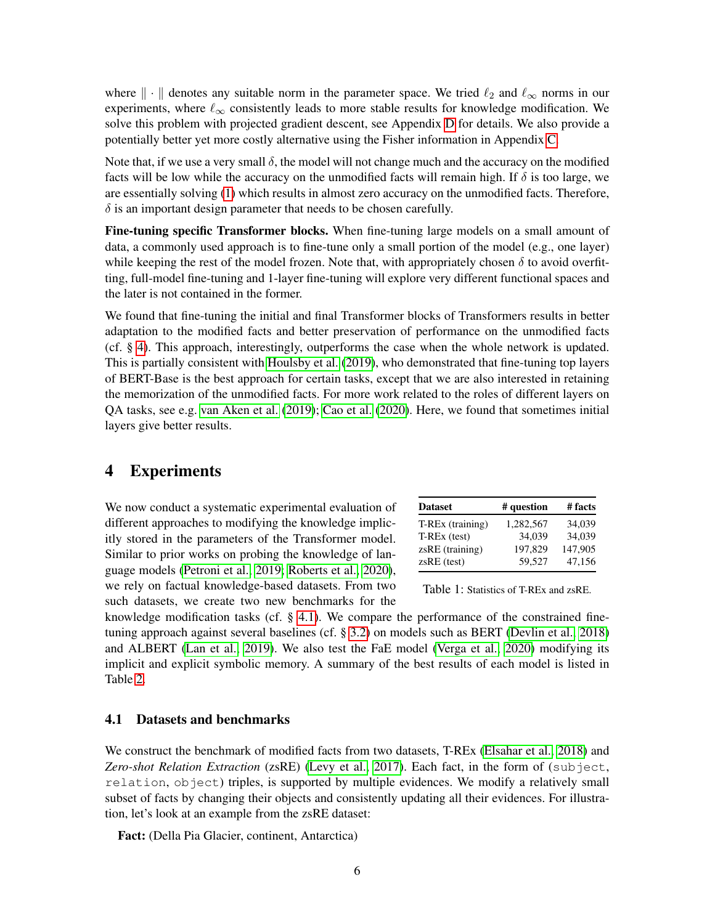where  $\|\cdot\|$  denotes any suitable norm in the parameter space. We tried  $\ell_2$  and  $\ell_\infty$  norms in our experiments, where  $\ell_{\infty}$  consistently leads to more stable results for knowledge modification. We solve this problem with projected gradient descent, see Appendix [D](#page-18-0) for details. We also provide a potentially better yet more costly alternative using the Fisher information in Appendix [C.](#page-18-1)

Note that, if we use a very small  $\delta$ , the model will not change much and the accuracy on the modified facts will be low while the accuracy on the unmodified facts will remain high. If  $\delta$  is too large, we are essentially solving [\(1\)](#page-4-2) which results in almost zero accuracy on the unmodified facts. Therefore,  $\delta$  is an important design parameter that needs to be chosen carefully.

Fine-tuning specific Transformer blocks. When fine-tuning large models on a small amount of data, a commonly used approach is to fine-tune only a small portion of the model (e.g., one layer) while keeping the rest of the model frozen. Note that, with appropriately chosen  $\delta$  to avoid overfitting, full-model fine-tuning and 1-layer fine-tuning will explore very different functional spaces and the later is not contained in the former.

We found that fine-tuning the initial and final Transformer blocks of Transformers results in better adaptation to the modified facts and better preservation of performance on the unmodified facts (cf. § [4\)](#page-5-0). This approach, interestingly, outperforms the case when the whole network is updated. This is partially consistent with [Houlsby et al.](#page-13-12) [\(2019\)](#page-13-12), who demonstrated that fine-tuning top layers of BERT-Base is the best approach for certain tasks, except that we are also interested in retaining the memorization of the unmodified facts. For more work related to the roles of different layers on QA tasks, see e.g. [van Aken et al.](#page-15-7) [\(2019\)](#page-15-7); [Cao et al.](#page-12-10) [\(2020\)](#page-12-10). Here, we found that sometimes initial layers give better results.

# <span id="page-5-0"></span>4 Experiments

We now conduct a systematic experimental evaluation of different approaches to modifying the knowledge implicitly stored in the parameters of the Transformer model. Similar to prior works on probing the knowledge of language models [\(Petroni et al., 2019;](#page-14-4) [Roberts et al., 2020\)](#page-14-5), we rely on factual knowledge-based datasets. From two such datasets, we create two new benchmarks for the

<span id="page-5-2"></span>

| <b>Dataset</b>   | # question | # facts |  |  |
|------------------|------------|---------|--|--|
| T-REx (training) | 1,282,567  | 34.039  |  |  |
| T-REx (test)     | 34.039     | 34.039  |  |  |
| zsRE (training)  | 197.829    | 147.905 |  |  |
| $zsRE$ (test)    | 59.527     | 47,156  |  |  |

Table 1: Statistics of T-REx and zsRE.

knowledge modification tasks (cf.  $\S$  [4.1\)](#page-5-1). We compare the performance of the constrained finetuning approach against several baselines (cf. § [3.2\)](#page-3-1) on models such as BERT [\(Devlin et al., 2018\)](#page-12-0) and ALBERT [\(Lan et al., 2019\)](#page-13-13). We also test the FaE model [\(Verga et al., 2020\)](#page-15-2) modifying its implicit and explicit symbolic memory. A summary of the best results of each model is listed in Table [2.](#page-7-1)

### <span id="page-5-1"></span>4.1 Datasets and benchmarks

We construct the benchmark of modified facts from two datasets, T-REx [\(Elsahar et al., 2018\)](#page-12-11) and Zero-shot Relation Extraction (zsRE) [\(Levy et al., 2017\)](#page-13-14). Each fact, in the form of (subject, relation, object) triples, is supported by multiple evidences. We modify a relatively small subset of facts by changing their objects and consistently updating all their evidences. For illustration, let's look at an example from the zsRE dataset:

Fact: (Della Pia Glacier, continent, Antarctica)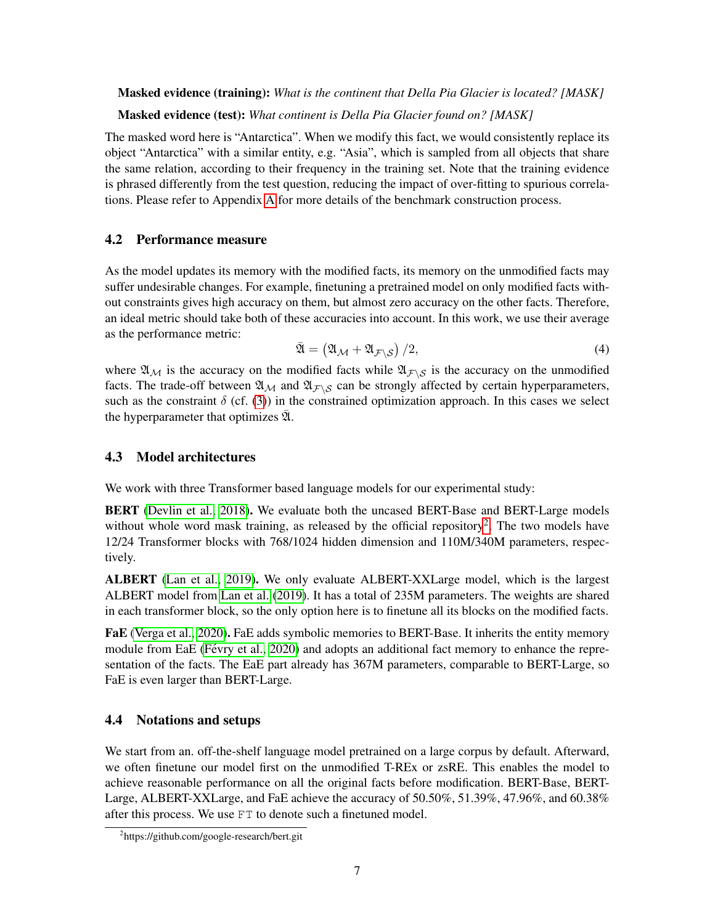Masked evidence (training): *What is the continent that Della Pia Glacier is located? [MASK]*

Masked evidence (test): *What continent is Della Pia Glacier found on? [MASK]*

The masked word here is "Antarctica". When we modify this fact, we would consistently replace its object "Antarctica" with a similar entity, e.g. "Asia", which is sampled from all objects that share the same relation, according to their frequency in the training set. Note that the training evidence is phrased differently from the test question, reducing the impact of over-fitting to spurious correlations. Please refer to Appendix [A](#page-16-0) for more details of the benchmark construction process.

### <span id="page-6-3"></span>4.2 Performance measure

As the model updates its memory with the modified facts, its memory on the unmodified facts may suffer undesirable changes. For example, finetuning a pretrained model on only modified facts without constraints gives high accuracy on them, but almost zero accuracy on the other facts. Therefore, an ideal metric should take both of these accuracies into account. In this work, we use their average as the performance metric:

<span id="page-6-1"></span>
$$
\bar{\mathfrak{A}} = \left( \mathfrak{A}_{\mathcal{M}} + \mathfrak{A}_{\mathcal{F} \setminus \mathcal{S}} \right) / 2, \tag{4}
$$

where  $\mathfrak{A}_M$  is the accuracy on the modified facts while  $\mathfrak{A}_{\mathcal{F}\setminus S}$  is the accuracy on the unmodified facts. The trade-off between  $\mathfrak{A}_M$  and  $\mathfrak{A}_{F\setminus S}$  can be strongly affected by certain hyperparameters, such as the constraint  $\delta$  (cf. [\(3\)](#page-4-3)) in the constrained optimization approach. In this cases we select the hyperparameter that optimizes  $\overline{\mathfrak{A}}$ .

## 4.3 Model architectures

We work with three Transformer based language models for our experimental study:

BERT [\(Devlin et al., 2018\)](#page-12-0). We evaluate both the uncased BERT-Base and BERT-Large models without whole word mask training, as released by the official repository<sup>[2](#page-6-0)</sup>. The two models have 12/24 Transformer blocks with 768/1024 hidden dimension and 110M/340M parameters, respectively.

ALBERT [\(Lan et al., 2019\)](#page-13-13). We only evaluate ALBERT-XXLarge model, which is the largest ALBERT model from [Lan et al.](#page-13-13) [\(2019\)](#page-13-13). It has a total of 235M parameters. The weights are shared in each transformer block, so the only option here is to finetune all its blocks on the modified facts.

FaE [\(Verga et al., 2020\)](#page-15-2). FaE adds symbolic memories to BERT-Base. It inherits the entity memory module from EaE (Févry et al., 2020) and adopts an additional fact memory to enhance the representation of the facts. The EaE part already has 367M parameters, comparable to BERT-Large, so FaE is even larger than BERT-Large.

## <span id="page-6-2"></span>4.4 Notations and setups

We start from an. off-the-shelf language model pretrained on a large corpus by default. Afterward, we often finetune our model first on the unmodified T-REx or zsRE. This enables the model to achieve reasonable performance on all the original facts before modification. BERT-Base, BERT-Large, ALBERT-XXLarge, and FaE achieve the accuracy of 50.50%, 51.39%, 47.96%, and 60.38% after this process. We use FT to denote such a finetuned model.

<span id="page-6-0"></span><sup>2</sup> https://github.com/google-research/bert.git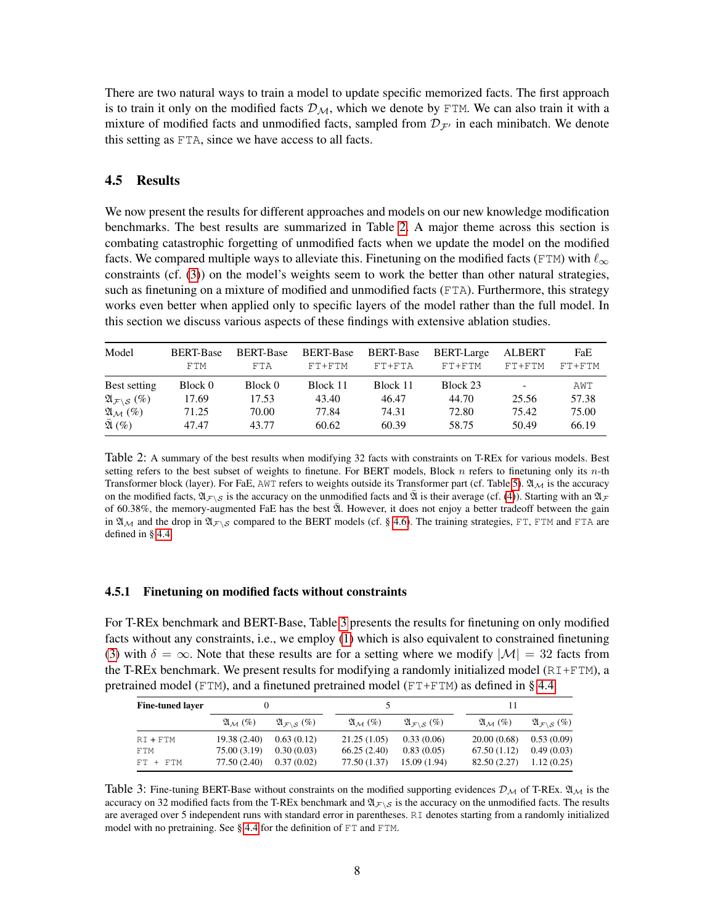There are two natural ways to train a model to update specific memorized facts. The first approach is to train it only on the modified facts  $\mathcal{D}_{M}$ , which we denote by FTM. We can also train it with a mixture of modified facts and unmodified facts, sampled from  $\mathcal{D}_{\mathcal{F}'}$  in each minibatch. We denote this setting as FTA, since we have access to all facts.

### 4.5 Results

We now present the results for different approaches and models on our new knowledge modification benchmarks. The best results are summarized in Table [2.](#page-7-1) A major theme across this section is combating catastrophic forgetting of unmodified facts when we update the model on the modified facts. We compared multiple ways to alleviate this. Finetuning on the modified facts (FTM) with  $\ell_{\infty}$ constraints (cf. [\(3\)](#page-4-3)) on the model's weights seem to work the better than other natural strategies, such as finetuning on a mixture of modified and unmodified facts (FTA). Furthermore, this strategy works even better when applied only to specific layers of the model rather than the full model. In this section we discuss various aspects of these findings with extensive ablation studies.

| Model                                                 | <b>BERT-Base</b> | <b>BERT-Base</b> | <b>BERT-Base</b> | <b>BERT-Base</b> | <b>BERT-Large</b> | ALBERT   | FaE      |
|-------------------------------------------------------|------------------|------------------|------------------|------------------|-------------------|----------|----------|
|                                                       | <b>FTM</b>       | FTA              | $FT+FTM$         | $FT+FTA$         | $FT+FTM$          | $FT+FTM$ | $FT+FTM$ |
| Best setting                                          | Block 0          | Block 0          | Block 11         | Block 11         | Block 23          |          | AWT      |
| $\mathfrak{A}_{\mathcal{F}\backslash\mathcal{S}}(\%)$ | 17.69            | 17.53            | 43.40            | 46.47            | 44.70             | 25.56    | 57.38    |
| $\mathfrak{A}_{\mathcal{M}}$ (%)                      | 71.25            | 70.00            | 77.84            | 74.31            | 72.80             | 75.42    | 75.00    |
| $\bar{\mathfrak{A}}$ (%)                              | 47.47            | 43.77            | 60.62            | 60.39            | 58.75             | 50.49    | 66.19    |

<span id="page-7-1"></span>Table 2: A summary of the best results when modifying 32 facts with constraints on T-REx for various models. Best setting refers to the best subset of weights to finetune. For BERT models, Block  $n$  refers to finetuning only its  $n$ -th Transformer block (layer). For FaE, AWT refers to weights outside its Transformer part (cf. Table [5\)](#page-10-0).  $\mathfrak{A}_M$  is the accuracy on the modified facts,  $\mathfrak{A}_{\mathcal{F}\setminus\mathcal{S}}$  is the accuracy on the unmodified facts and  $\bar{\mathfrak{A}}$  is their average (cf. [\(4\)](#page-6-1)). Starting with an  $\mathfrak{A}_{\mathcal{F}}$ of 60.38%, the memory-augmented FaE has the best  $\overline{\mathfrak{A}}$ . However, it does not enjoy a better tradeoff between the gain in  $\mathfrak{A}_M$  and the drop in  $\mathfrak{A}_{\mathcal{F}\setminus S}$  compared to the BERT models (cf. § [4.6\)](#page-10-1). The training strategies, FT, FTM and FTA are defined in § [4.4.](#page-6-2)

#### <span id="page-7-0"></span>4.5.1 Finetuning on modified facts without constraints

For T-REx benchmark and BERT-Base, Table [3](#page-7-2) presents the results for finetuning on only modified facts without any constraints, i.e., we employ [\(1\)](#page-4-2) which is also equivalent to constrained finetuning [\(3\)](#page-4-3) with  $\delta = \infty$ . Note that these results are for a setting where we modify  $|\mathcal{M}| = 32$  facts from the T-REx benchmark. We present results for modifying a randomly initialized model  $(RI + FTM)$ , a pretrained model (FTM), and a finetuned pretrained model (FT+FTM) as defined in § [4.4.](#page-6-2)

<span id="page-7-2"></span>

| <b>Fine-tuned layer</b> |                                  |                                                      |                                  |                                                      |                                  |                                                      |  |
|-------------------------|----------------------------------|------------------------------------------------------|----------------------------------|------------------------------------------------------|----------------------------------|------------------------------------------------------|--|
|                         | $\mathfrak{A}_{\mathcal{M}}(\%)$ | $\mathfrak{A}_{\mathcal{F}\setminus\mathcal{S}}(\%)$ | $\mathfrak{A}_{\mathcal{M}}(\%)$ | $\mathfrak{A}_{\mathcal{F}\setminus\mathcal{S}}(\%)$ | $\mathfrak{A}_{\mathcal{M}}(\%)$ | $\mathfrak{A}_{\mathcal{F}\setminus\mathcal{S}}(\%)$ |  |
| $RI + FTM$              | 19.38 (2.40)                     | 0.63(0.12)                                           | 21.25(1.05)                      | 0.33(0.06)                                           | 20.00(0.68)                      | 0.53(0.09)                                           |  |
| <b>FTM</b>              | 75.00 (3.19)                     | 0.30(0.03)                                           | 66.25(2.40)                      | 0.83(0.05)                                           | 67.50(1.12)                      | 0.49(0.03)                                           |  |
| $FT + FTM$              | 77.50 (2.40)                     | 0.37(0.02)                                           | 77.50 (1.37)                     | 15.09 (1.94)                                         | 82.50 (2.27)                     | 1.12(0.25)                                           |  |

Table 3: Fine-tuning BERT-Base without constraints on the modified supporting evidences  $\mathcal{D}_M$  of T-REx.  $\mathfrak{A}_M$  is the accuracy on 32 modified facts from the T-REx benchmark and  $\mathfrak{A}_{\mathcal{F}\backslash\mathcal{S}}$  is the accuracy on the unmodified facts. The results are averaged over 5 independent runs with standard error in parentheses. RI denotes starting from a randomly initialized model with no pretraining. See § [4.4](#page-6-2) for the definition of FT and FTM.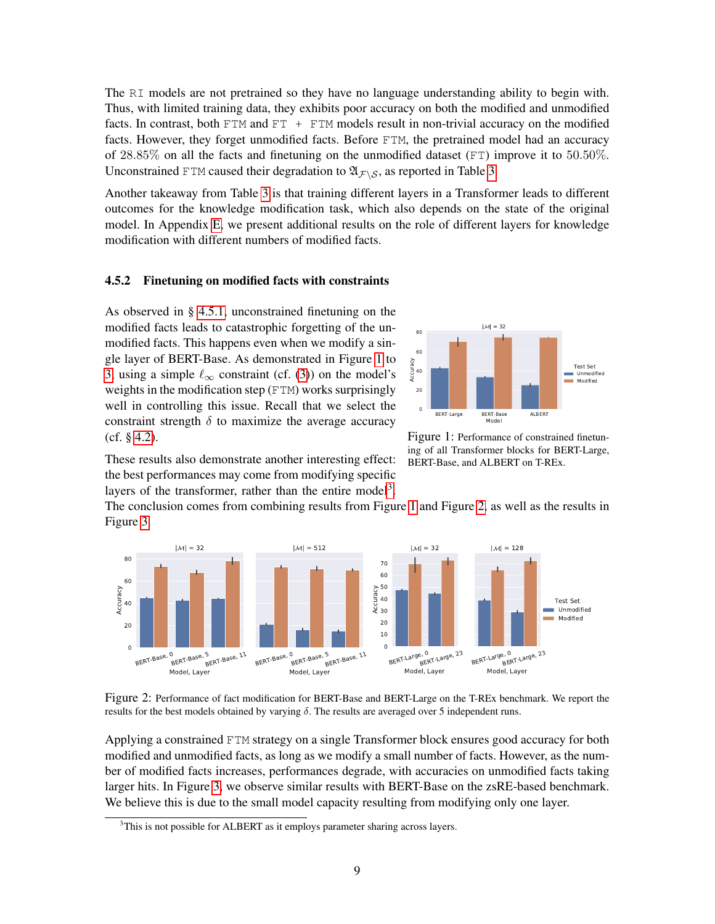The RI models are not pretrained so they have no language understanding ability to begin with. Thus, with limited training data, they exhibits poor accuracy on both the modified and unmodified facts. In contrast, both FTM and FT  $+$  FTM models result in non-trivial accuracy on the modified facts. However, they forget unmodified facts. Before FTM, the pretrained model had an accuracy of 28.85% on all the facts and finetuning on the unmodified dataset (FT) improve it to 50.50%. Unconstrained FTM caused their degradation to  $\mathfrak{A}_{\mathcal{F}\setminus\mathcal{S}}$ , as reported in Table [3.](#page-7-2)

Another takeaway from Table [3](#page-7-2) is that training different layers in a Transformer leads to different outcomes for the knowledge modification task, which also depends on the state of the original model. In Appendix [E,](#page-19-1) we present additional results on the role of different layers for knowledge modification with different numbers of modified facts.

#### 4.5.2 Finetuning on modified facts with constraints

As observed in § [4.5.1,](#page-7-0) unconstrained finetuning on the modified facts leads to catastrophic forgetting of the unmodified facts. This happens even when we modify a single layer of BERT-Base. As demonstrated in Figure [1](#page-8-0) to [3,](#page-9-1) using a simple  $\ell_{\infty}$  constraint (cf. [\(3\)](#page-4-3)) on the model's weights in the modification step (FTM) works surprisingly well in controlling this issue. Recall that we select the constraint strength  $\delta$  to maximize the average accuracy (cf. § [4.2\)](#page-6-3).



<span id="page-8-0"></span>Figure 1: Performance of constrained finetuning of all Transformer blocks for BERT-Large,

<span id="page-8-2"></span>BERT-Base, and ALBERT on T-REx.

These results also demonstrate another interesting effect: the best performances may come from modifying specific layers of the transformer, rather than the entire model<sup>[3](#page-8-1)</sup>.

The conclusion comes from combining results from Figure [1](#page-8-0) and Figure [2,](#page-8-2) as well as the results in Figure [3.](#page-9-1)



Figure 2: Performance of fact modification for BERT-Base and BERT-Large on the T-REx benchmark. We report the results for the best models obtained by varying  $\delta$ . The results are averaged over 5 independent runs.

Applying a constrained FTM strategy on a single Transformer block ensures good accuracy for both modified and unmodified facts, as long as we modify a small number of facts. However, as the number of modified facts increases, performances degrade, with accuracies on unmodified facts taking larger hits. In Figure [3,](#page-9-1) we observe similar results with BERT-Base on the zsRE-based benchmark. We believe this is due to the small model capacity resulting from modifying only one layer.

<span id="page-8-1"></span><sup>&</sup>lt;sup>3</sup>This is not possible for ALBERT as it employs parameter sharing across layers.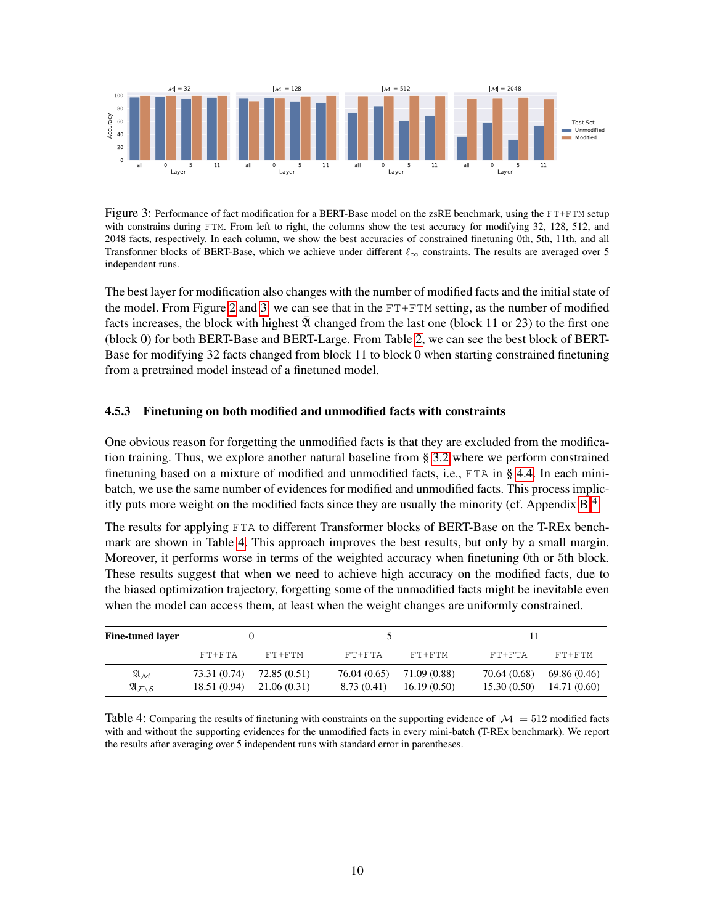

<span id="page-9-1"></span>Figure 3: Performance of fact modification for a BERT-Base model on the zsRE benchmark, using the FT+FTM setup with constrains during FTM. From left to right, the columns show the test accuracy for modifying 32, 128, 512, and 2048 facts, respectively. In each column, we show the best accuracies of constrained finetuning 0th, 5th, 11th, and all Transformer blocks of BERT-Base, which we achieve under different  $\ell_{\infty}$  constraints. The results are averaged over 5 independent runs.

The best layer for modification also changes with the number of modified facts and the initial state of the model. From Figure [2](#page-8-2) and [3,](#page-9-1) we can see that in the  $ET+FTM$  setting, as the number of modified facts increases, the block with highest  $\overline{X}$  changed from the last one (block 11 or 23) to the first one (block 0) for both BERT-Base and BERT-Large. From Table [2,](#page-7-1) we can see the best block of BERT-Base for modifying 32 facts changed from block 11 to block 0 when starting constrained finetuning from a pretrained model instead of a finetuned model.

## 4.5.3 Finetuning on both modified and unmodified facts with constraints

One obvious reason for forgetting the unmodified facts is that they are excluded from the modification training. Thus, we explore another natural baseline from § [3.2](#page-3-1) where we perform constrained finetuning based on a mixture of modified and unmodified facts, i.e., FTA in § [4.4.](#page-6-2) In each minibatch, we use the same number of evidences for modified and unmodified facts. This process implicitly puts more weight on the modified facts since they are usually the minority (cf. Appendix  $B$ )<sup>[4](#page-10-2)</sup>.

The results for applying FTA to different Transformer blocks of BERT-Base on the T-REx benchmark are shown in Table [4.](#page-9-0) This approach improves the best results, but only by a small margin. Moreover, it performs worse in terms of the weighted accuracy when finetuning 0th or 5th block. These results suggest that when we need to achieve high accuracy on the modified facts, due to the biased optimization trajectory, forgetting some of the unmodified facts might be inevitable even when the model can access them, at least when the weight changes are uniformly constrained.

| <b>Fine-tuned layer</b>                          |              |              |              |              |              |              |  |
|--------------------------------------------------|--------------|--------------|--------------|--------------|--------------|--------------|--|
|                                                  | $FT+FTA$     | $FT+FTM$     | $FT+FTA$     | $FT+FTM$     | $FT+FTA$     | $FT+FTM$     |  |
| $\mathfrak{A}_\mathcal{M}$                       | 73.31 (0.74) | 72.85 (0.51) | 76.04 (0.65) | 71.09 (0.88) | 70.64 (0.68) | 69.86 (0.46) |  |
| $\mathfrak{A}_{\mathcal{F}\setminus\mathcal{S}}$ | 18.51 (0.94) | 21.06(0.31)  | 8.73 (0.41)  | 16.19(0.50)  | 15.30(0.50)  | 14.71 (0.60) |  |

<span id="page-9-0"></span>Table 4: Comparing the results of finetuning with constraints on the supporting evidence of  $|\mathcal{M}| = 512$  modified facts with and without the supporting evidences for the unmodified facts in every mini-batch (T-REx benchmark). We report the results after averaging over 5 independent runs with standard error in parentheses.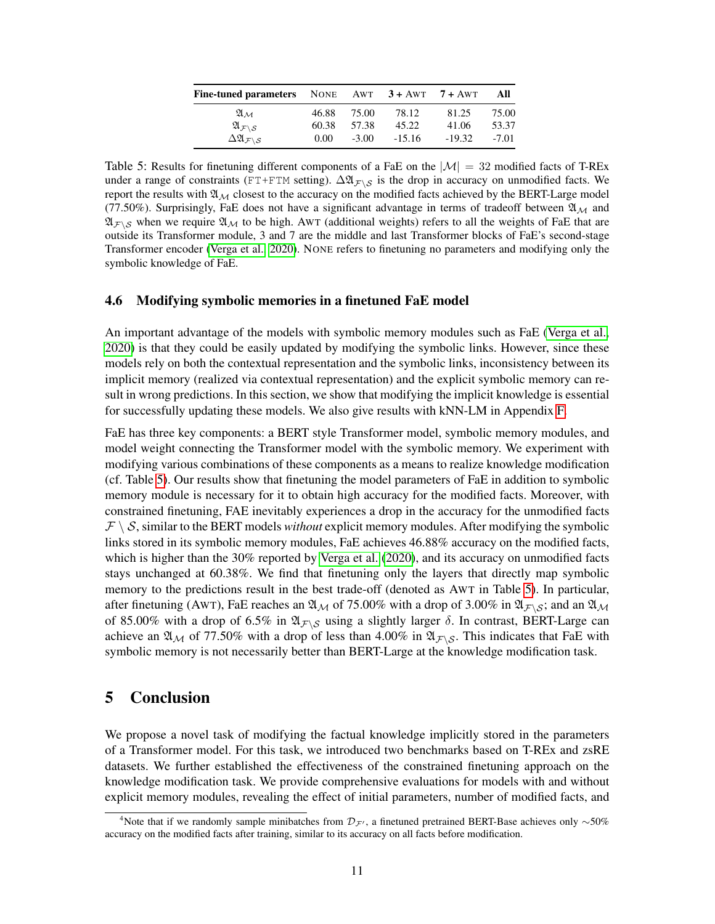<span id="page-10-0"></span>

| <b>Fine-tuned parameters</b> NONE $AWT = 3 + AWT = 7 + AWT$ |       |         |          |          | All     |  |
|-------------------------------------------------------------|-------|---------|----------|----------|---------|--|
| $\mathfrak{A}_{\mathcal{M}}$                                | 46.88 | 75.00   | 78.12    | 81.25    | 75.00   |  |
| $\mathfrak{A}_{\mathcal{F}\backslash\mathcal{S}}$           | 60.38 | 57.38   | 45.22    | 41.06    | 53.37   |  |
| $\Delta \mathfrak{A}_{\mathcal{F} \backslash \mathcal{S}}$  | 0.00  | $-3.00$ | $-15.16$ | $-19.32$ | $-7.01$ |  |

Table 5: Results for finetuning different components of a FaE on the  $|M| = 32$  modified facts of T-REx under a range of constraints (FT+FTM setting).  $\Delta \mathfrak{A}_{\mathcal{F}\setminus \mathcal{S}}$  is the drop in accuracy on unmodified facts. We report the results with  $\mathfrak{A}_{\mathcal{M}}$  closest to the accuracy on the modified facts achieved by the BERT-Large model (77.50%). Surprisingly, FaE does not have a significant advantage in terms of tradeoff between  $\mathfrak{A}_M$  and  $\mathfrak{A}_{\mathcal{F}\setminus\mathcal{S}}$  when we require  $\mathfrak{A}_\mathcal{M}$  to be high. AWT (additional weights) refers to all the weights of FaE that are outside its Transformer module, 3 and 7 are the middle and last Transformer blocks of FaE's second-stage Transformer encoder [\(Verga et al., 2020\)](#page-15-2). NONE refers to finetuning no parameters and modifying only the symbolic knowledge of FaE.

#### <span id="page-10-1"></span>4.6 Modifying symbolic memories in a finetuned FaE model

An important advantage of the models with symbolic memory modules such as FaE [\(Verga et al.,](#page-15-2) [2020\)](#page-15-2) is that they could be easily updated by modifying the symbolic links. However, since these models rely on both the contextual representation and the symbolic links, inconsistency between its implicit memory (realized via contextual representation) and the explicit symbolic memory can result in wrong predictions. In this section, we show that modifying the implicit knowledge is essential for successfully updating these models. We also give results with kNN-LM in Appendix [F.](#page-19-0)

FaE has three key components: a BERT style Transformer model, symbolic memory modules, and model weight connecting the Transformer model with the symbolic memory. We experiment with modifying various combinations of these components as a means to realize knowledge modification (cf. Table [5\)](#page-10-0). Our results show that finetuning the model parameters of FaE in addition to symbolic memory module is necessary for it to obtain high accuracy for the modified facts. Moreover, with constrained finetuning, FAE inevitably experiences a drop in the accuracy for the unmodified facts  $\mathcal{F} \setminus \mathcal{S}$ , similar to the BERT models *without* explicit memory modules. After modifying the symbolic links stored in its symbolic memory modules, FaE achieves 46.88% accuracy on the modified facts, which is higher than the 30% reported by [Verga et al.](#page-15-2) [\(2020\)](#page-15-2), and its accuracy on unmodified facts stays unchanged at 60.38%. We find that finetuning only the layers that directly map symbolic memory to the predictions result in the best trade-off (denoted as AWT in Table [5\)](#page-10-0). In particular, after finetuning (AWT), FaE reaches an  $\mathfrak{A}_M$  of 75.00% with a drop of 3.00% in  $\mathfrak{A}_{F\setminus S}$ ; and an  $\mathfrak{A}_M$ of 85.00% with a drop of 6.5% in  $\mathfrak{A}_{\mathcal{F}\backslash\mathcal{S}}$  using a slightly larger  $\delta$ . In contrast, BERT-Large can achieve an  $\mathfrak{A}_{\mathcal{M}}$  of 77.50% with a drop of less than 4.00% in  $\mathfrak{A}_{\mathcal{F}\setminus\mathcal{S}}$ . This indicates that FaE with symbolic memory is not necessarily better than BERT-Large at the knowledge modification task.

## 5 Conclusion

We propose a novel task of modifying the factual knowledge implicitly stored in the parameters of a Transformer model. For this task, we introduced two benchmarks based on T-REx and zsRE datasets. We further established the effectiveness of the constrained finetuning approach on the knowledge modification task. We provide comprehensive evaluations for models with and without explicit memory modules, revealing the effect of initial parameters, number of modified facts, and

<span id="page-10-2"></span><sup>&</sup>lt;sup>4</sup>Note that if we randomly sample minibatches from  $\mathcal{D}_{\mathcal{F}}$ , a finetuned pretrained BERT-Base achieves only ∼50% accuracy on the modified facts after training, similar to its accuracy on all facts before modification.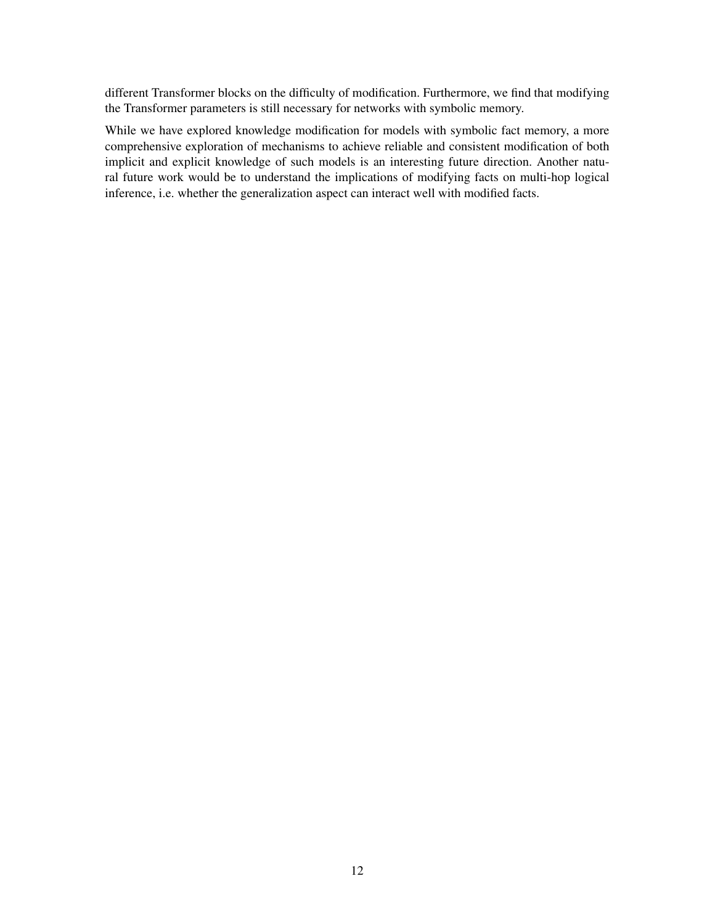different Transformer blocks on the difficulty of modification. Furthermore, we find that modifying the Transformer parameters is still necessary for networks with symbolic memory.

While we have explored knowledge modification for models with symbolic fact memory, a more comprehensive exploration of mechanisms to achieve reliable and consistent modification of both implicit and explicit knowledge of such models is an interesting future direction. Another natural future work would be to understand the implications of modifying facts on multi-hop logical inference, i.e. whether the generalization aspect can interact well with modified facts.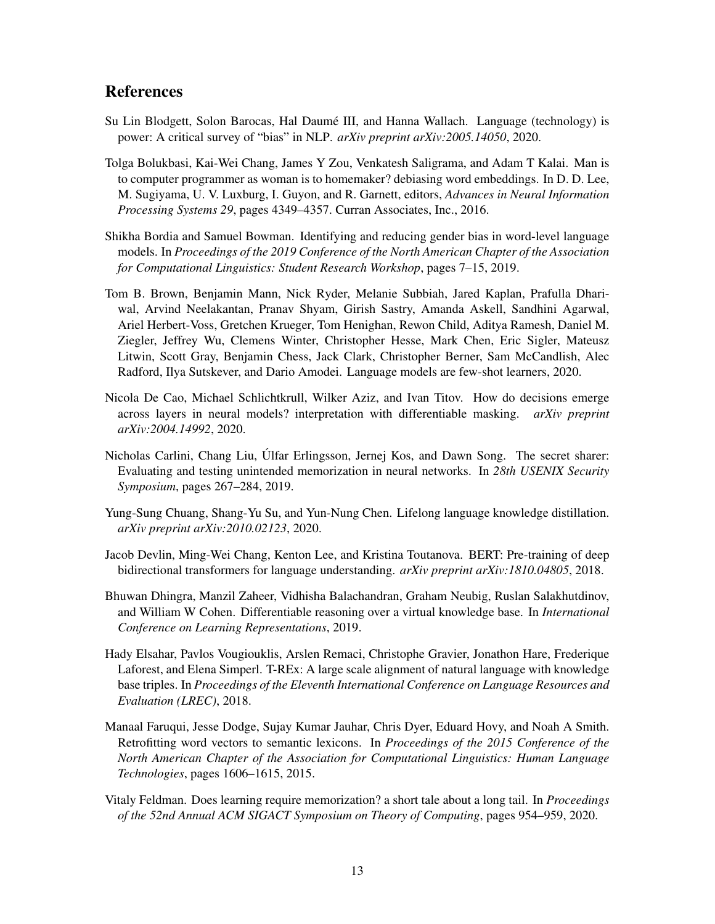# References

- <span id="page-12-5"></span>Su Lin Blodgett, Solon Barocas, Hal Daumé III, and Hanna Wallach. Language (technology) is power: A critical survey of "bias" in NLP. *arXiv preprint arXiv:2005.14050*, 2020.
- <span id="page-12-3"></span>Tolga Bolukbasi, Kai-Wei Chang, James Y Zou, Venkatesh Saligrama, and Adam T Kalai. Man is to computer programmer as woman is to homemaker? debiasing word embeddings. In D. D. Lee, M. Sugiyama, U. V. Luxburg, I. Guyon, and R. Garnett, editors, *Advances in Neural Information Processing Systems 29*, pages 4349–4357. Curran Associates, Inc., 2016.
- <span id="page-12-4"></span>Shikha Bordia and Samuel Bowman. Identifying and reducing gender bias in word-level language models. In *Proceedings of the 2019 Conference of the North American Chapter of the Association for Computational Linguistics: Student Research Workshop*, pages 7–15, 2019.
- <span id="page-12-1"></span>Tom B. Brown, Benjamin Mann, Nick Ryder, Melanie Subbiah, Jared Kaplan, Prafulla Dhariwal, Arvind Neelakantan, Pranav Shyam, Girish Sastry, Amanda Askell, Sandhini Agarwal, Ariel Herbert-Voss, Gretchen Krueger, Tom Henighan, Rewon Child, Aditya Ramesh, Daniel M. Ziegler, Jeffrey Wu, Clemens Winter, Christopher Hesse, Mark Chen, Eric Sigler, Mateusz Litwin, Scott Gray, Benjamin Chess, Jack Clark, Christopher Berner, Sam McCandlish, Alec Radford, Ilya Sutskever, and Dario Amodei. Language models are few-shot learners, 2020.
- <span id="page-12-10"></span>Nicola De Cao, Michael Schlichtkrull, Wilker Aziz, and Ivan Titov. How do decisions emerge across layers in neural models? interpretation with differentiable masking. *arXiv preprint arXiv:2004.14992*, 2020.
- <span id="page-12-2"></span>Nicholas Carlini, Chang Liu, Ulfar Erlingsson, Jernej Kos, and Dawn Song. The secret sharer: ´ Evaluating and testing unintended memorization in neural networks. In *28th USENIX Security Symposium*, pages 267–284, 2019.
- <span id="page-12-9"></span>Yung-Sung Chuang, Shang-Yu Su, and Yun-Nung Chen. Lifelong language knowledge distillation. *arXiv preprint arXiv:2010.02123*, 2020.
- <span id="page-12-0"></span>Jacob Devlin, Ming-Wei Chang, Kenton Lee, and Kristina Toutanova. BERT: Pre-training of deep bidirectional transformers for language understanding. *arXiv preprint arXiv:1810.04805*, 2018.
- <span id="page-12-7"></span>Bhuwan Dhingra, Manzil Zaheer, Vidhisha Balachandran, Graham Neubig, Ruslan Salakhutdinov, and William W Cohen. Differentiable reasoning over a virtual knowledge base. In *International Conference on Learning Representations*, 2019.
- <span id="page-12-11"></span>Hady Elsahar, Pavlos Vougiouklis, Arslen Remaci, Christophe Gravier, Jonathon Hare, Frederique Laforest, and Elena Simperl. T-REx: A large scale alignment of natural language with knowledge base triples. In *Proceedings of the Eleventh International Conference on Language Resources and Evaluation (LREC)*, 2018.
- <span id="page-12-6"></span>Manaal Faruqui, Jesse Dodge, Sujay Kumar Jauhar, Chris Dyer, Eduard Hovy, and Noah A Smith. Retrofitting word vectors to semantic lexicons. In *Proceedings of the 2015 Conference of the North American Chapter of the Association for Computational Linguistics: Human Language Technologies*, pages 1606–1615, 2015.
- <span id="page-12-8"></span>Vitaly Feldman. Does learning require memorization? a short tale about a long tail. In *Proceedings of the 52nd Annual ACM SIGACT Symposium on Theory of Computing*, pages 954–959, 2020.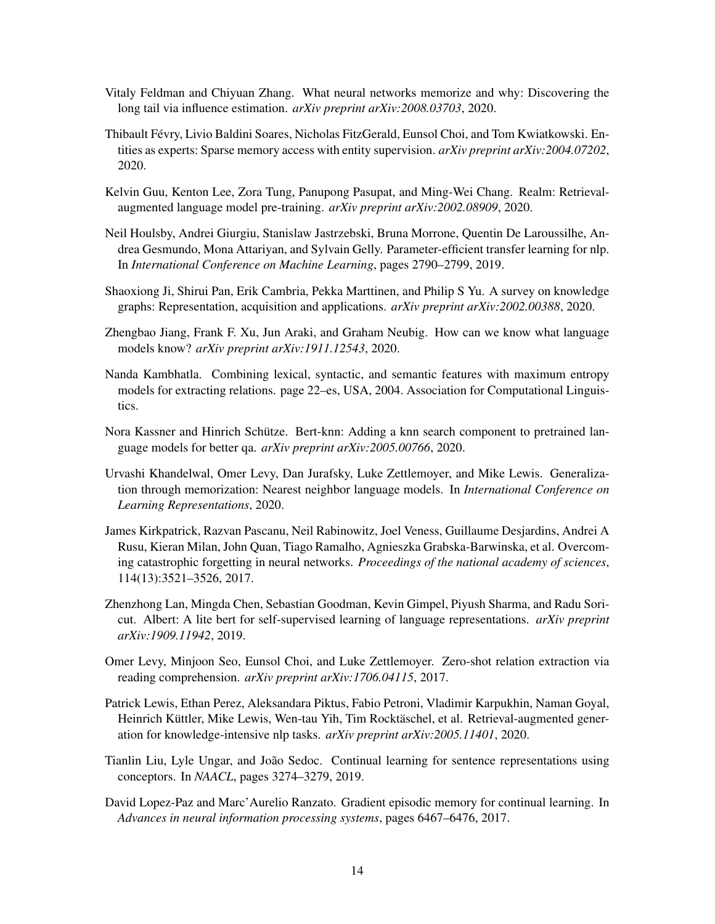- <span id="page-13-7"></span>Vitaly Feldman and Chiyuan Zhang. What neural networks memorize and why: Discovering the long tail via influence estimation. *arXiv preprint arXiv:2008.03703*, 2020.
- <span id="page-13-5"></span>Thibault Févry, Livio Baldini Soares, Nicholas FitzGerald, Eunsol Choi, and Tom Kwiatkowski. Entities as experts: Sparse memory access with entity supervision. *arXiv preprint arXiv:2004.07202*, 2020.
- <span id="page-13-2"></span>Kelvin Guu, Kenton Lee, Zora Tung, Panupong Pasupat, and Ming-Wei Chang. Realm: Retrievalaugmented language model pre-training. *arXiv preprint arXiv:2002.08909*, 2020.
- <span id="page-13-12"></span>Neil Houlsby, Andrei Giurgiu, Stanislaw Jastrzebski, Bruna Morrone, Quentin De Laroussilhe, Andrea Gesmundo, Mona Attariyan, and Sylvain Gelly. Parameter-efficient transfer learning for nlp. In *International Conference on Machine Learning*, pages 2790–2799, 2019.
- <span id="page-13-1"></span>Shaoxiong Ji, Shirui Pan, Erik Cambria, Pekka Marttinen, and Philip S Yu. A survey on knowledge graphs: Representation, acquisition and applications. *arXiv preprint arXiv:2002.00388*, 2020.
- <span id="page-13-4"></span>Zhengbao Jiang, Frank F. Xu, Jun Araki, and Graham Neubig. How can we know what language models know? *arXiv preprint arXiv:1911.12543*, 2020.
- <span id="page-13-0"></span>Nanda Kambhatla. Combining lexical, syntactic, and semantic features with maximum entropy models for extracting relations. page 22–es, USA, 2004. Association for Computational Linguistics.
- <span id="page-13-8"></span>Nora Kassner and Hinrich Schütze. Bert-knn: Adding a knn search component to pretrained language models for better qa. *arXiv preprint arXiv:2005.00766*, 2020.
- <span id="page-13-6"></span>Urvashi Khandelwal, Omer Levy, Dan Jurafsky, Luke Zettlemoyer, and Mike Lewis. Generalization through memorization: Nearest neighbor language models. In *International Conference on Learning Representations*, 2020.
- <span id="page-13-10"></span>James Kirkpatrick, Razvan Pascanu, Neil Rabinowitz, Joel Veness, Guillaume Desjardins, Andrei A Rusu, Kieran Milan, John Quan, Tiago Ramalho, Agnieszka Grabska-Barwinska, et al. Overcoming catastrophic forgetting in neural networks. *Proceedings of the national academy of sciences*, 114(13):3521–3526, 2017.
- <span id="page-13-13"></span>Zhenzhong Lan, Mingda Chen, Sebastian Goodman, Kevin Gimpel, Piyush Sharma, and Radu Soricut. Albert: A lite bert for self-supervised learning of language representations. *arXiv preprint arXiv:1909.11942*, 2019.
- <span id="page-13-14"></span>Omer Levy, Minjoon Seo, Eunsol Choi, and Luke Zettlemoyer. Zero-shot relation extraction via reading comprehension. *arXiv preprint arXiv:1706.04115*, 2017.
- <span id="page-13-3"></span>Patrick Lewis, Ethan Perez, Aleksandara Piktus, Fabio Petroni, Vladimir Karpukhin, Naman Goyal, Heinrich Küttler, Mike Lewis, Wen-tau Yih, Tim Rocktäschel, et al. Retrieval-augmented generation for knowledge-intensive nlp tasks. *arXiv preprint arXiv:2005.11401*, 2020.
- <span id="page-13-9"></span>Tianlin Liu, Lyle Ungar, and Joao Sedoc. Continual learning for sentence representations using ˜ conceptors. In *NAACL*, pages 3274–3279, 2019.
- <span id="page-13-11"></span>David Lopez-Paz and Marc'Aurelio Ranzato. Gradient episodic memory for continual learning. In *Advances in neural information processing systems*, pages 6467–6476, 2017.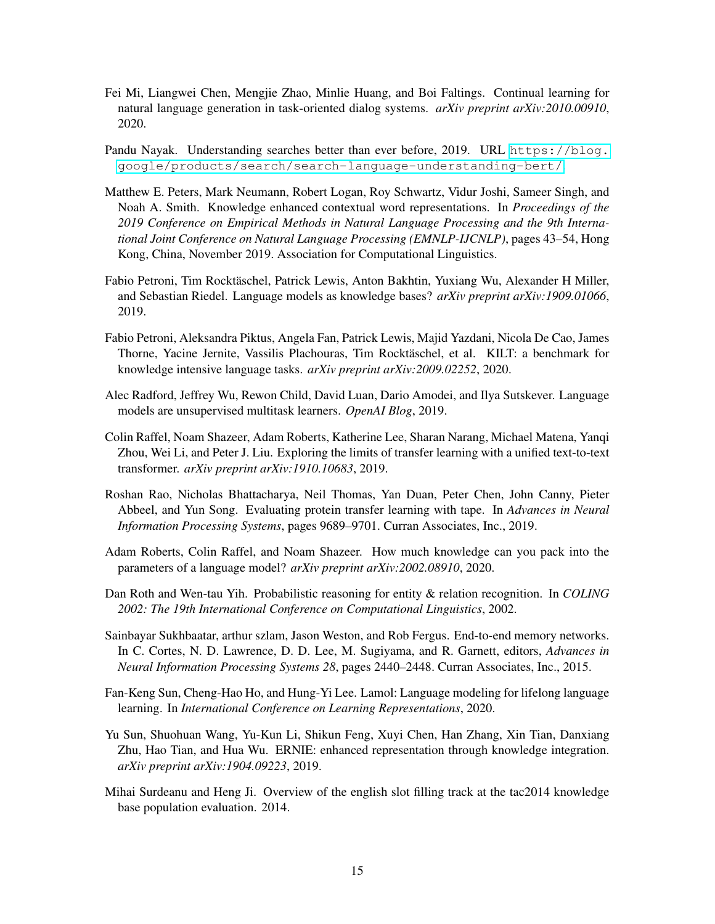- <span id="page-14-12"></span>Fei Mi, Liangwei Chen, Mengjie Zhao, Minlie Huang, and Boi Faltings. Continual learning for natural language generation in task-oriented dialog systems. *arXiv preprint arXiv:2010.00910*, 2020.
- <span id="page-14-2"></span>Pandu Nayak. Understanding searches better than ever before, 2019. URL [https://blog.](https://blog.google/products/search/search-language-understanding-bert/) [google/products/search/search-language-understanding-bert/](https://blog.google/products/search/search-language-understanding-bert/).
- <span id="page-14-9"></span>Matthew E. Peters, Mark Neumann, Robert Logan, Roy Schwartz, Vidur Joshi, Sameer Singh, and Noah A. Smith. Knowledge enhanced contextual word representations. In *Proceedings of the 2019 Conference on Empirical Methods in Natural Language Processing and the 9th International Joint Conference on Natural Language Processing (EMNLP-IJCNLP)*, pages 43–54, Hong Kong, China, November 2019. Association for Computational Linguistics.
- <span id="page-14-4"></span>Fabio Petroni, Tim Rocktäschel, Patrick Lewis, Anton Bakhtin, Yuxiang Wu, Alexander H Miller, and Sebastian Riedel. Language models as knowledge bases? *arXiv preprint arXiv:1909.01066*, 2019.
- <span id="page-14-13"></span>Fabio Petroni, Aleksandra Piktus, Angela Fan, Patrick Lewis, Majid Yazdani, Nicola De Cao, James Thorne, Yacine Jernite, Vassilis Plachouras, Tim Rocktäschel, et al. KILT: a benchmark for knowledge intensive language tasks. *arXiv preprint arXiv:2009.02252*, 2020.
- <span id="page-14-0"></span>Alec Radford, Jeffrey Wu, Rewon Child, David Luan, Dario Amodei, and Ilya Sutskever. Language models are unsupervised multitask learners. *OpenAI Blog*, 2019.
- <span id="page-14-1"></span>Colin Raffel, Noam Shazeer, Adam Roberts, Katherine Lee, Sharan Narang, Michael Matena, Yanqi Zhou, Wei Li, and Peter J. Liu. Exploring the limits of transfer learning with a unified text-to-text transformer. *arXiv preprint arXiv:1910.10683*, 2019.
- <span id="page-14-3"></span>Roshan Rao, Nicholas Bhattacharya, Neil Thomas, Yan Duan, Peter Chen, John Canny, Pieter Abbeel, and Yun Song. Evaluating protein transfer learning with tape. In *Advances in Neural Information Processing Systems*, pages 9689–9701. Curran Associates, Inc., 2019.
- <span id="page-14-5"></span>Adam Roberts, Colin Raffel, and Noam Shazeer. How much knowledge can you pack into the parameters of a language model? *arXiv preprint arXiv:2002.08910*, 2020.
- <span id="page-14-6"></span>Dan Roth and Wen-tau Yih. Probabilistic reasoning for entity & relation recognition. In *COLING 2002: The 19th International Conference on Computational Linguistics*, 2002.
- <span id="page-14-10"></span>Sainbayar Sukhbaatar, arthur szlam, Jason Weston, and Rob Fergus. End-to-end memory networks. In C. Cortes, N. D. Lawrence, D. D. Lee, M. Sugiyama, and R. Garnett, editors, *Advances in Neural Information Processing Systems 28*, pages 2440–2448. Curran Associates, Inc., 2015.
- <span id="page-14-11"></span>Fan-Keng Sun, Cheng-Hao Ho, and Hung-Yi Lee. Lamol: Language modeling for lifelong language learning. In *International Conference on Learning Representations*, 2020.
- <span id="page-14-8"></span>Yu Sun, Shuohuan Wang, Yu-Kun Li, Shikun Feng, Xuyi Chen, Han Zhang, Xin Tian, Danxiang Zhu, Hao Tian, and Hua Wu. ERNIE: enhanced representation through knowledge integration. *arXiv preprint arXiv:1904.09223*, 2019.
- <span id="page-14-7"></span>Mihai Surdeanu and Heng Ji. Overview of the english slot filling track at the tac2014 knowledge base population evaluation. 2014.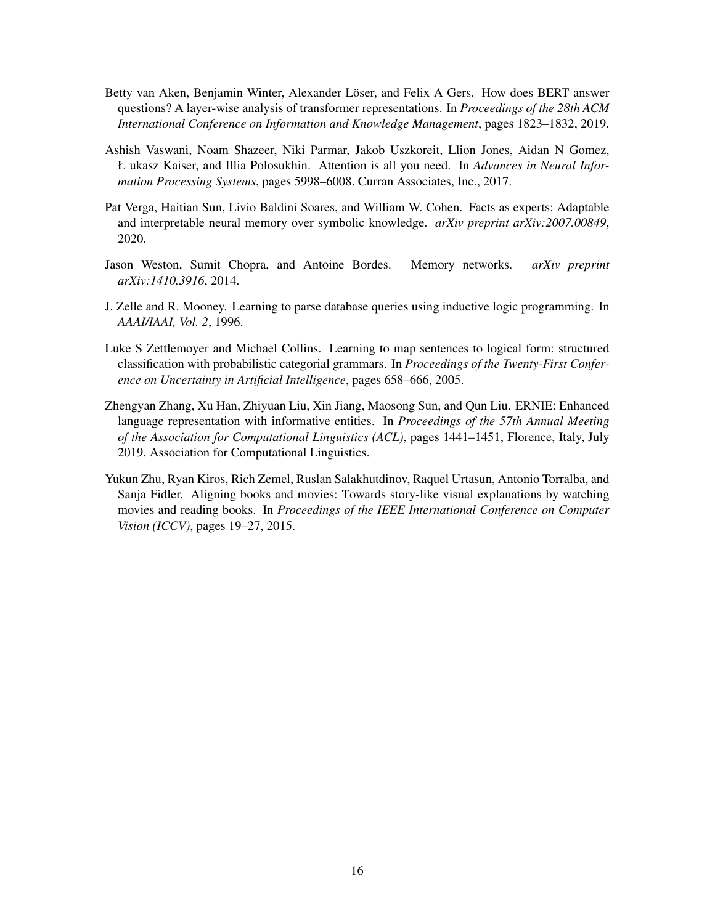- <span id="page-15-7"></span>Betty van Aken, Benjamin Winter, Alexander Löser, and Felix A Gers. How does BERT answer questions? A layer-wise analysis of transformer representations. In *Proceedings of the 28th ACM International Conference on Information and Knowledge Management*, pages 1823–1832, 2019.
- <span id="page-15-0"></span>Ashish Vaswani, Noam Shazeer, Niki Parmar, Jakob Uszkoreit, Llion Jones, Aidan N Gomez, Ł ukasz Kaiser, and Illia Polosukhin. Attention is all you need. In *Advances in Neural Information Processing Systems*, pages 5998–6008. Curran Associates, Inc., 2017.
- <span id="page-15-2"></span>Pat Verga, Haitian Sun, Livio Baldini Soares, and William W. Cohen. Facts as experts: Adaptable and interpretable neural memory over symbolic knowledge. *arXiv preprint arXiv:2007.00849*, 2020.
- <span id="page-15-6"></span>Jason Weston, Sumit Chopra, and Antoine Bordes. Memory networks. *arXiv preprint arXiv:1410.3916*, 2014.
- <span id="page-15-3"></span>J. Zelle and R. Mooney. Learning to parse database queries using inductive logic programming. In *AAAI/IAAI, Vol. 2*, 1996.
- <span id="page-15-4"></span>Luke S Zettlemoyer and Michael Collins. Learning to map sentences to logical form: structured classification with probabilistic categorial grammars. In *Proceedings of the Twenty-First Conference on Uncertainty in Artificial Intelligence*, pages 658–666, 2005.
- <span id="page-15-5"></span>Zhengyan Zhang, Xu Han, Zhiyuan Liu, Xin Jiang, Maosong Sun, and Qun Liu. ERNIE: Enhanced language representation with informative entities. In *Proceedings of the 57th Annual Meeting of the Association for Computational Linguistics (ACL)*, pages 1441–1451, Florence, Italy, July 2019. Association for Computational Linguistics.
- <span id="page-15-1"></span>Yukun Zhu, Ryan Kiros, Rich Zemel, Ruslan Salakhutdinov, Raquel Urtasun, Antonio Torralba, and Sanja Fidler. Aligning books and movies: Towards story-like visual explanations by watching movies and reading books. In *Proceedings of the IEEE International Conference on Computer Vision (ICCV)*, pages 19–27, 2015.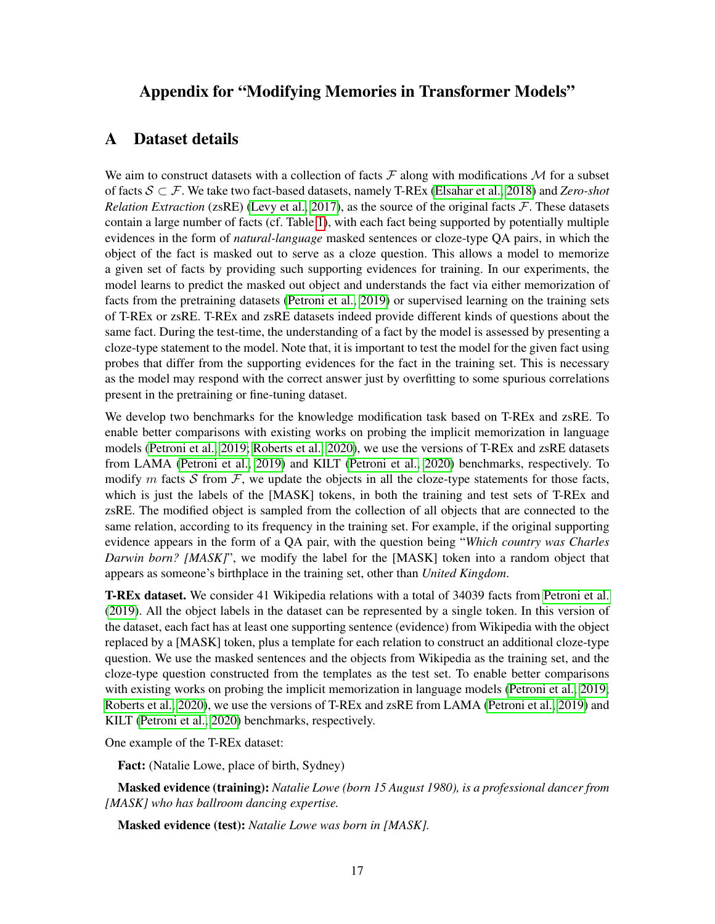# Appendix for "Modifying Memories in Transformer Models"

# <span id="page-16-0"></span>A Dataset details

We aim to construct datasets with a collection of facts  $\mathcal F$  along with modifications  $\mathcal M$  for a subset of facts S ⊂ F. We take two fact-based datasets, namely T-REx [\(Elsahar et al., 2018\)](#page-12-11) and *Zero-shot Relation Extraction* (zsRE) [\(Levy et al., 2017\)](#page-13-14), as the source of the original facts  $\mathcal{F}$ . These datasets contain a large number of facts (cf. Table [1\)](#page-5-2), with each fact being supported by potentially multiple evidences in the form of *natural-language* masked sentences or cloze-type QA pairs, in which the object of the fact is masked out to serve as a cloze question. This allows a model to memorize a given set of facts by providing such supporting evidences for training. In our experiments, the model learns to predict the masked out object and understands the fact via either memorization of facts from the pretraining datasets [\(Petroni et al., 2019\)](#page-14-4) or supervised learning on the training sets of T-REx or zsRE. T-REx and zsRE datasets indeed provide different kinds of questions about the same fact. During the test-time, the understanding of a fact by the model is assessed by presenting a cloze-type statement to the model. Note that, it is important to test the model for the given fact using probes that differ from the supporting evidences for the fact in the training set. This is necessary as the model may respond with the correct answer just by overfitting to some spurious correlations present in the pretraining or fine-tuning dataset.

We develop two benchmarks for the knowledge modification task based on T-REx and zsRE. To enable better comparisons with existing works on probing the implicit memorization in language models [\(Petroni et al., 2019;](#page-14-4) [Roberts et al., 2020\)](#page-14-5), we use the versions of T-REx and zsRE datasets from LAMA [\(Petroni et al., 2019\)](#page-14-4) and KILT [\(Petroni et al., 2020\)](#page-14-13) benchmarks, respectively. To modify m facts S from  $\mathcal{F}$ , we update the objects in all the cloze-type statements for those facts, which is just the labels of the [MASK] tokens, in both the training and test sets of T-REx and zsRE. The modified object is sampled from the collection of all objects that are connected to the same relation, according to its frequency in the training set. For example, if the original supporting evidence appears in the form of a QA pair, with the question being "*Which country was Charles Darwin born? [MASK]*", we modify the label for the [MASK] token into a random object that appears as someone's birthplace in the training set, other than *United Kingdom*.

T-REx dataset. We consider 41 Wikipedia relations with a total of 34039 facts from [Petroni et al.](#page-14-4) [\(2019\)](#page-14-4). All the object labels in the dataset can be represented by a single token. In this version of the dataset, each fact has at least one supporting sentence (evidence) from Wikipedia with the object replaced by a [MASK] token, plus a template for each relation to construct an additional cloze-type question. We use the masked sentences and the objects from Wikipedia as the training set, and the cloze-type question constructed from the templates as the test set. To enable better comparisons with existing works on probing the implicit memorization in language models [\(Petroni et al., 2019;](#page-14-4) [Roberts et al., 2020\)](#page-14-5), we use the versions of T-REx and zsRE from LAMA [\(Petroni et al., 2019\)](#page-14-4) and KILT [\(Petroni et al., 2020\)](#page-14-13) benchmarks, respectively.

One example of the T-REx dataset:

Fact: (Natalie Lowe, place of birth, Sydney)

Masked evidence (training): *Natalie Lowe (born 15 August 1980), is a professional dancer from [MASK] who has ballroom dancing expertise.*

Masked evidence (test): *Natalie Lowe was born in [MASK].*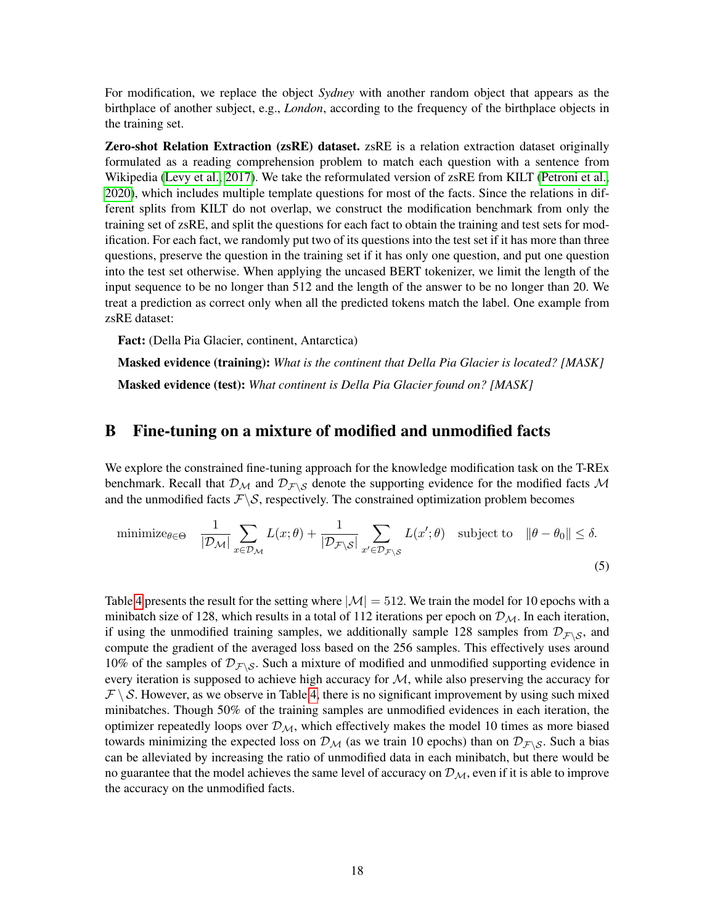For modification, we replace the object *Sydney* with another random object that appears as the birthplace of another subject, e.g., *London*, according to the frequency of the birthplace objects in the training set.

Zero-shot Relation Extraction (zsRE) dataset. zsRE is a relation extraction dataset originally formulated as a reading comprehension problem to match each question with a sentence from Wikipedia [\(Levy et al., 2017\)](#page-13-14). We take the reformulated version of zsRE from KILT [\(Petroni et al.,](#page-14-13) [2020\)](#page-14-13), which includes multiple template questions for most of the facts. Since the relations in different splits from KILT do not overlap, we construct the modification benchmark from only the training set of zsRE, and split the questions for each fact to obtain the training and test sets for modification. For each fact, we randomly put two of its questions into the test set if it has more than three questions, preserve the question in the training set if it has only one question, and put one question into the test set otherwise. When applying the uncased BERT tokenizer, we limit the length of the input sequence to be no longer than 512 and the length of the answer to be no longer than 20. We treat a prediction as correct only when all the predicted tokens match the label. One example from zsRE dataset:

Fact: (Della Pia Glacier, continent, Antarctica)

Masked evidence (training): *What is the continent that Della Pia Glacier is located? [MASK]* Masked evidence (test): *What continent is Della Pia Glacier found on? [MASK]*

# <span id="page-17-0"></span>B Fine-tuning on a mixture of modified and unmodified facts

We explore the constrained fine-tuning approach for the knowledge modification task on the T-REx benchmark. Recall that  $\mathcal{D}_{\mathcal{M}}$  and  $\mathcal{D}_{\mathcal{F}\setminus\mathcal{S}}$  denote the supporting evidence for the modified facts M and the unmodified facts  $\mathcal{F}\backslash\mathcal{S}$ , respectively. The constrained optimization problem becomes

$$
\text{minimize}_{\theta \in \Theta} \quad \frac{1}{|\mathcal{D}_{\mathcal{M}}|} \sum_{x \in \mathcal{D}_{\mathcal{M}}} L(x; \theta) + \frac{1}{|\mathcal{D}_{\mathcal{F} \setminus \mathcal{S}}|} \sum_{x' \in \mathcal{D}_{\mathcal{F} \setminus \mathcal{S}}} L(x'; \theta) \quad \text{subject to} \quad \|\theta - \theta_0\| \le \delta. \tag{5}
$$

Table [4](#page-9-0) presents the result for the setting where  $|M| = 512$ . We train the model for 10 epochs with a minibatch size of 128, which results in a total of 112 iterations per epoch on  $\mathcal{D}_{\mathcal{M}}$ . In each iteration, if using the unmodified training samples, we additionally sample 128 samples from  $\mathcal{D}_{\mathcal{F}\setminus\mathcal{S}}$ , and compute the gradient of the averaged loss based on the 256 samples. This effectively uses around 10% of the samples of  $\mathcal{D}_{\mathcal{F}\setminus\mathcal{S}}$ . Such a mixture of modified and unmodified supporting evidence in every iteration is supposed to achieve high accuracy for  $M$ , while also preserving the accuracy for  $\mathcal{F} \setminus \mathcal{S}$ . However, as we observe in Table [4,](#page-9-0) there is no significant improvement by using such mixed minibatches. Though 50% of the training samples are unmodified evidences in each iteration, the optimizer repeatedly loops over  $\mathcal{D}_M$ , which effectively makes the model 10 times as more biased towards minimizing the expected loss on  $\mathcal{D}_{\mathcal{M}}$  (as we train 10 epochs) than on  $\mathcal{D}_{\mathcal{F}\setminus\mathcal{S}}$ . Such a bias can be alleviated by increasing the ratio of unmodified data in each minibatch, but there would be no guarantee that the model achieves the same level of accuracy on  $\mathcal{D}_{\mathcal{M}}$ , even if it is able to improve the accuracy on the unmodified facts.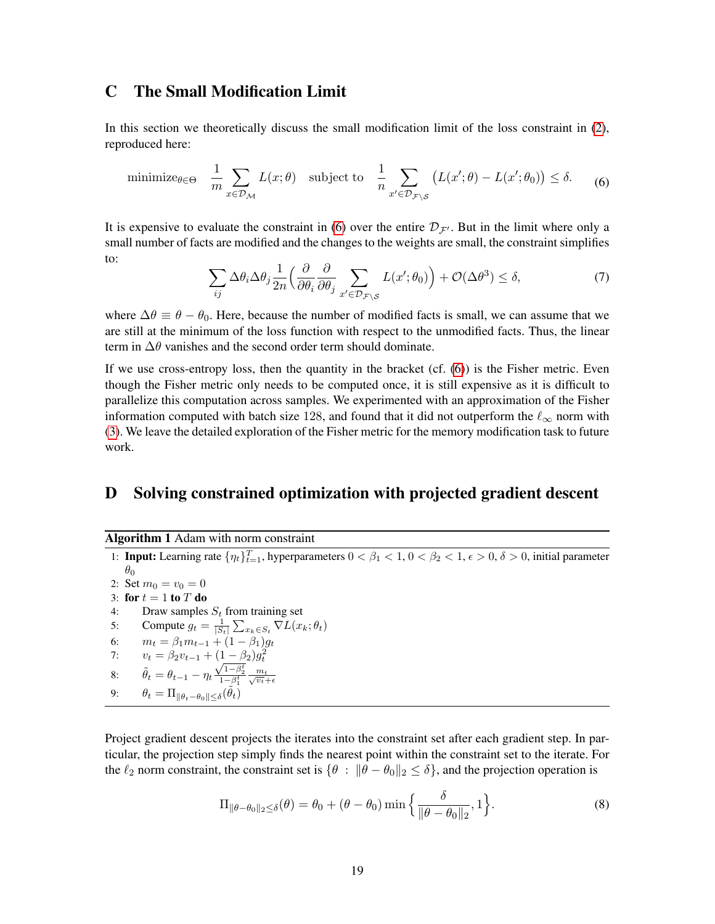# <span id="page-18-1"></span>C The Small Modification Limit

In this section we theoretically discuss the small modification limit of the loss constraint in [\(2\)](#page-4-4), reproduced here:

<span id="page-18-2"></span>
$$
\text{minimize}_{\theta \in \Theta} \quad \frac{1}{m} \sum_{x \in \mathcal{D}_{\mathcal{M}}} L(x; \theta) \quad \text{subject to} \quad \frac{1}{n} \sum_{x' \in \mathcal{D}_{\mathcal{F} \setminus \mathcal{S}}} \left( L(x'; \theta) - L(x'; \theta_0) \right) \le \delta. \tag{6}
$$

It is expensive to evaluate the constraint in [\(6\)](#page-18-2) over the entire  $\mathcal{D}_{\mathcal{F}'}$ . But in the limit where only a small number of facts are modified and the changes to the weights are small, the constraint simplifies to:

$$
\sum_{ij} \Delta \theta_i \Delta \theta_j \frac{1}{2n} \left( \frac{\partial}{\partial \theta_i} \frac{\partial}{\partial \theta_j} \sum_{x' \in \mathcal{D}_{\mathcal{F} \setminus \mathcal{S}}} L(x'; \theta_0) \right) + \mathcal{O}(\Delta \theta^3) \le \delta,
$$
\n(7)

where  $\Delta\theta \equiv \theta - \theta_0$ . Here, because the number of modified facts is small, we can assume that we are still at the minimum of the loss function with respect to the unmodified facts. Thus, the linear term in  $\Delta\theta$  vanishes and the second order term should dominate.

If we use cross-entropy loss, then the quantity in the bracket  $(cf. (6))$  $(cf. (6))$  $(cf. (6))$  is the Fisher metric. Even though the Fisher metric only needs to be computed once, it is still expensive as it is difficult to parallelize this computation across samples. We experimented with an approximation of the Fisher information computed with batch size 128, and found that it did not outperform the  $\ell_{\infty}$  norm with [\(3\)](#page-4-3). We leave the detailed exploration of the Fisher metric for the memory modification task to future work.

## <span id="page-18-0"></span>D Solving constrained optimization with projected gradient descent

#### Algorithm 1 Adam with norm constraint

<span id="page-18-3"></span>1: **Input:** Learning rate  $\{\eta_t\}_{t=1}^T$ , hyperparameters  $0 < \beta_1 < 1$ ,  $0 < \beta_2 < 1$ ,  $\epsilon > 0$ ,  $\delta > 0$ , initial parameter  $\theta_0$ 2: Set  $m_0 = v_0 = 0$ 3: for  $t = 1$  to  $T$  do 4: Draw samples  $S_t$  from training set

5: Compute  $g_t = \frac{1}{|S_t|} \sum_{x_k \in S_t} \nabla L(x_k; \theta_t)$ 

6: 
$$
m_t = \beta_1 m_{t-1} + (1 - \beta_1) g_t
$$
  
7:  $w_t = \beta_2 w_{t-1} + (1 - \beta_2) g_t^2$ 

7: 
$$
v_t = \beta_2 v_{t-1} + (1 - \beta_2) g_t^2
$$

8: 
$$
\tilde{\theta}_t = \theta_{t-1} - \eta_t \frac{\sqrt{1-\beta_2^t}}{1-\beta_1^t} \frac{m_t}{\sqrt{v_t} + \epsilon}
$$

9: 
$$
\theta_t = \Pi_{\|\theta_t - \theta_0\| \leq \delta}(\tilde{\theta}_t)
$$

Project gradient descent projects the iterates into the constraint set after each gradient step. In particular, the projection step simply finds the nearest point within the constraint set to the iterate. For the  $\ell_2$  norm constraint, the constraint set is  $\{\theta : ||\theta - \theta_0||_2 \le \delta\}$ , and the projection operation is

$$
\Pi_{\|\theta-\theta_0\|_2\leq\delta}(\theta)=\theta_0+(\theta-\theta_0)\min\left\{\frac{\delta}{\|\theta-\theta_0\|_2},1\right\}.
$$
\n(8)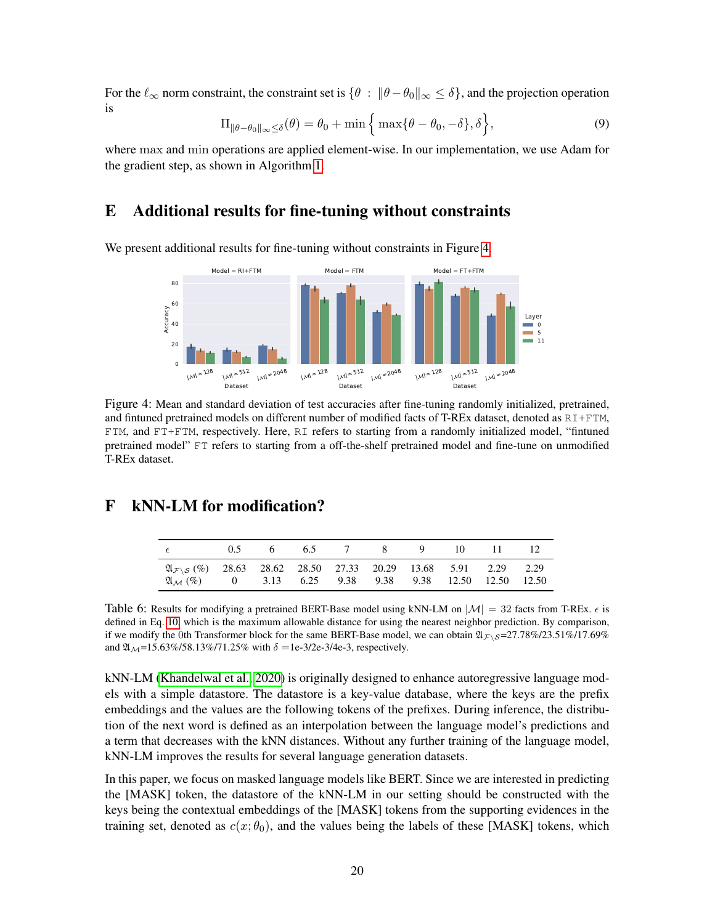For the  $\ell_{\infty}$  norm constraint, the constraint set is  $\{\theta : ||\theta - \theta_0||_{\infty} \leq \delta\}$ , and the projection operation is

$$
\Pi_{\|\theta-\theta_0\|_{\infty}\leq\delta}(\theta)=\theta_0+\min\left\{\max\{\theta-\theta_0,-\delta\},\delta\right\},\tag{9}
$$

where max and min operations are applied element-wise. In our implementation, we use Adam for the gradient step, as shown in Algorithm [1.](#page-18-3)

## <span id="page-19-1"></span>E Additional results for fine-tuning without constraints

We present additional results for fine-tuning without constraints in Figure [4.](#page-19-2)

<span id="page-19-2"></span>

Figure 4: Mean and standard deviation of test accuracies after fine-tuning randomly initialized, pretrained, and fintuned pretrained models on different number of modified facts of T-REx dataset, denoted as RI+FTM, FTM, and FT+FTM, respectively. Here, RI refers to starting from a randomly initialized model, "fintuned pretrained model" FT refers to starting from a off-the-shelf pretrained model and fine-tune on unmodified T-REx dataset.

## <span id="page-19-0"></span>F kNN-LM for modification?

<span id="page-19-3"></span>

|                                                                                                                                                                                          | $0.5 -$ | 6.5 | $\gamma$ 8 | - 9 | 10. |  |
|------------------------------------------------------------------------------------------------------------------------------------------------------------------------------------------|---------|-----|------------|-----|-----|--|
| $\mathfrak{A}_{\mathcal{F}\setminus\mathcal{S}}(\%)$ 28.63 28.62 28.50 27.33 20.29 13.68 5.91 2.29 2.29<br>$\mathfrak{A}_{\mathcal{M}}(\%)$ 0 3.13 6.25 9.38 9.38 9.38 12.50 12.50 12.50 |         |     |            |     |     |  |

Table 6: Results for modifying a pretrained BERT-Base model using kNN-LM on  $|\mathcal{M}| = 32$  facts from T-REx.  $\epsilon$  is defined in Eq. [10,](#page-20-0) which is the maximum allowable distance for using the nearest neighbor prediction. By comparison, if we modify the 0th Transformer block for the same BERT-Base model, we can obtain  $\mathfrak{A}_{\mathcal{F}\setminus S} = 27.78\%/23.51\%/17.69\%$ and  $\mathfrak{A}_{\mathcal{M}} = 15.63\% / 58.13\% / 71.25\%$  with  $\delta = 1e-3/2e-3/4e-3$ , respectively.

kNN-LM [\(Khandelwal et al., 2020\)](#page-13-6) is originally designed to enhance autoregressive language models with a simple datastore. The datastore is a key-value database, where the keys are the prefix embeddings and the values are the following tokens of the prefixes. During inference, the distribution of the next word is defined as an interpolation between the language model's predictions and a term that decreases with the kNN distances. Without any further training of the language model, kNN-LM improves the results for several language generation datasets.

In this paper, we focus on masked language models like BERT. Since we are interested in predicting the [MASK] token, the datastore of the kNN-LM in our setting should be constructed with the keys being the contextual embeddings of the [MASK] tokens from the supporting evidences in the training set, denoted as  $c(x; \theta_0)$ , and the values being the labels of these [MASK] tokens, which